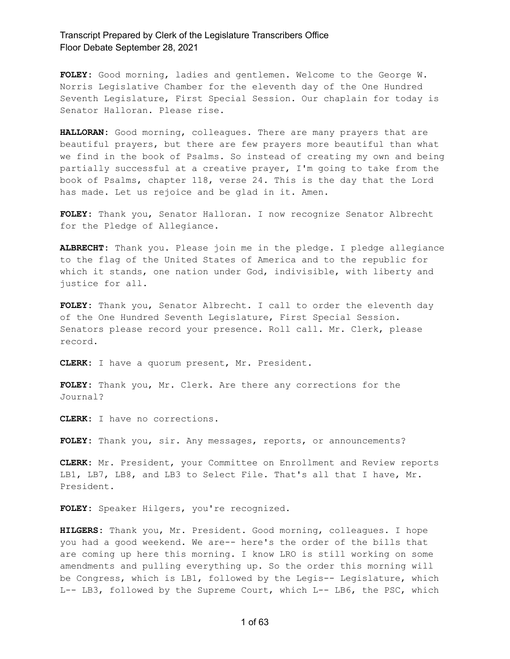**FOLEY:** Good morning, ladies and gentlemen. Welcome to the George W. Norris Legislative Chamber for the eleventh day of the One Hundred Seventh Legislature, First Special Session. Our chaplain for today is Senator Halloran. Please rise.

**HALLORAN:** Good morning, colleagues. There are many prayers that are beautiful prayers, but there are few prayers more beautiful than what we find in the book of Psalms. So instead of creating my own and being partially successful at a creative prayer, I'm going to take from the book of Psalms, chapter 118, verse 24. This is the day that the Lord has made. Let us rejoice and be glad in it. Amen.

**FOLEY:** Thank you, Senator Halloran. I now recognize Senator Albrecht for the Pledge of Allegiance.

**ALBRECHT:** Thank you. Please join me in the pledge. I pledge allegiance to the flag of the United States of America and to the republic for which it stands, one nation under God, indivisible, with liberty and justice for all.

**FOLEY:** Thank you, Senator Albrecht. I call to order the eleventh day of the One Hundred Seventh Legislature, First Special Session. Senators please record your presence. Roll call. Mr. Clerk, please record.

**CLERK:** I have a quorum present, Mr. President.

**FOLEY:** Thank you, Mr. Clerk. Are there any corrections for the Journal?

**CLERK:** I have no corrections.

**FOLEY:** Thank you, sir. Any messages, reports, or announcements?

**CLERK:** Mr. President, your Committee on Enrollment and Review reports LB1, LB7, LB8, and LB3 to Select File. That's all that I have, Mr. President.

**FOLEY:** Speaker Hilgers, you're recognized.

**HILGERS:** Thank you, Mr. President. Good morning, colleagues. I hope you had a good weekend. We are-- here's the order of the bills that are coming up here this morning. I know LRO is still working on some amendments and pulling everything up. So the order this morning will be Congress, which is LB1, followed by the Legis-- Legislature, which L-- LB3, followed by the Supreme Court, which L-- LB6, the PSC, which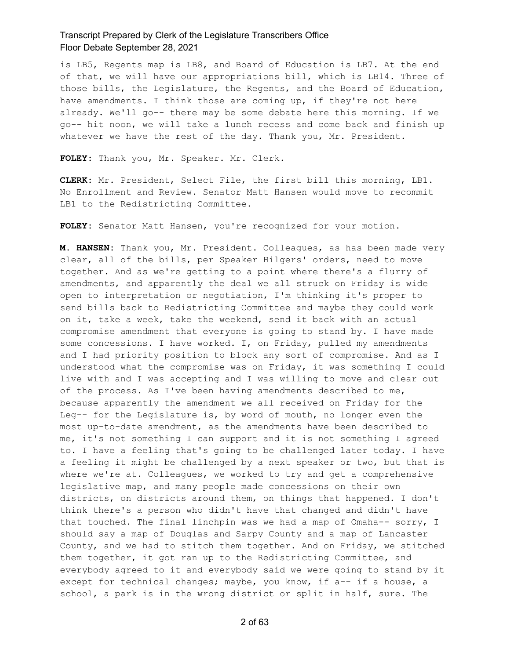is LB5, Regents map is LB8, and Board of Education is LB7. At the end of that, we will have our appropriations bill, which is LB14. Three of those bills, the Legislature, the Regents, and the Board of Education, have amendments. I think those are coming up, if they're not here already. We'll go-- there may be some debate here this morning. If we go-- hit noon, we will take a lunch recess and come back and finish up whatever we have the rest of the day. Thank you, Mr. President.

**FOLEY:** Thank you, Mr. Speaker. Mr. Clerk.

**CLERK:** Mr. President, Select File, the first bill this morning, LB1. No Enrollment and Review. Senator Matt Hansen would move to recommit LB1 to the Redistricting Committee.

**FOLEY:** Senator Matt Hansen, you're recognized for your motion.

**M. HANSEN:** Thank you, Mr. President. Colleagues, as has been made very clear, all of the bills, per Speaker Hilgers' orders, need to move together. And as we're getting to a point where there's a flurry of amendments, and apparently the deal we all struck on Friday is wide open to interpretation or negotiation, I'm thinking it's proper to send bills back to Redistricting Committee and maybe they could work on it, take a week, take the weekend, send it back with an actual compromise amendment that everyone is going to stand by. I have made some concessions. I have worked. I, on Friday, pulled my amendments and I had priority position to block any sort of compromise. And as I understood what the compromise was on Friday, it was something I could live with and I was accepting and I was willing to move and clear out of the process. As I've been having amendments described to me, because apparently the amendment we all received on Friday for the Leg-- for the Legislature is, by word of mouth, no longer even the most up-to-date amendment, as the amendments have been described to me, it's not something I can support and it is not something I agreed to. I have a feeling that's going to be challenged later today. I have a feeling it might be challenged by a next speaker or two, but that is where we're at. Colleagues, we worked to try and get a comprehensive legislative map, and many people made concessions on their own districts, on districts around them, on things that happened. I don't think there's a person who didn't have that changed and didn't have that touched. The final linchpin was we had a map of Omaha-- sorry, I should say a map of Douglas and Sarpy County and a map of Lancaster County, and we had to stitch them together. And on Friday, we stitched them together, it got ran up to the Redistricting Committee, and everybody agreed to it and everybody said we were going to stand by it except for technical changes; maybe, you know, if a-- if a house, a school, a park is in the wrong district or split in half, sure. The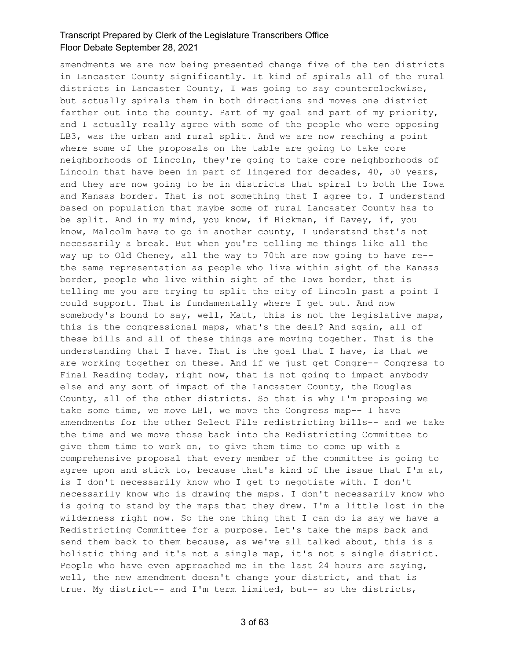amendments we are now being presented change five of the ten districts in Lancaster County significantly. It kind of spirals all of the rural districts in Lancaster County, I was going to say counterclockwise, but actually spirals them in both directions and moves one district farther out into the county. Part of my goal and part of my priority, and I actually really agree with some of the people who were opposing LB3, was the urban and rural split. And we are now reaching a point where some of the proposals on the table are going to take core neighborhoods of Lincoln, they're going to take core neighborhoods of Lincoln that have been in part of lingered for decades, 40, 50 years, and they are now going to be in districts that spiral to both the Iowa and Kansas border. That is not something that I agree to. I understand based on population that maybe some of rural Lancaster County has to be split. And in my mind, you know, if Hickman, if Davey, if, you know, Malcolm have to go in another county, I understand that's not necessarily a break. But when you're telling me things like all the way up to Old Cheney, all the way to 70th are now going to have re- the same representation as people who live within sight of the Kansas border, people who live within sight of the Iowa border, that is telling me you are trying to split the city of Lincoln past a point I could support. That is fundamentally where I get out. And now somebody's bound to say, well, Matt, this is not the legislative maps, this is the congressional maps, what's the deal? And again, all of these bills and all of these things are moving together. That is the understanding that I have. That is the goal that I have, is that we are working together on these. And if we just get Congre-- Congress to Final Reading today, right now, that is not going to impact anybody else and any sort of impact of the Lancaster County, the Douglas County, all of the other districts. So that is why I'm proposing we take some time, we move LB1, we move the Congress map-- I have amendments for the other Select File redistricting bills-- and we take the time and we move those back into the Redistricting Committee to give them time to work on, to give them time to come up with a comprehensive proposal that every member of the committee is going to agree upon and stick to, because that's kind of the issue that I'm at, is I don't necessarily know who I get to negotiate with. I don't necessarily know who is drawing the maps. I don't necessarily know who is going to stand by the maps that they drew. I'm a little lost in the wilderness right now. So the one thing that I can do is say we have a Redistricting Committee for a purpose. Let's take the maps back and send them back to them because, as we've all talked about, this is a holistic thing and it's not a single map, it's not a single district. People who have even approached me in the last 24 hours are saying, well, the new amendment doesn't change your district, and that is true. My district-- and I'm term limited, but-- so the districts,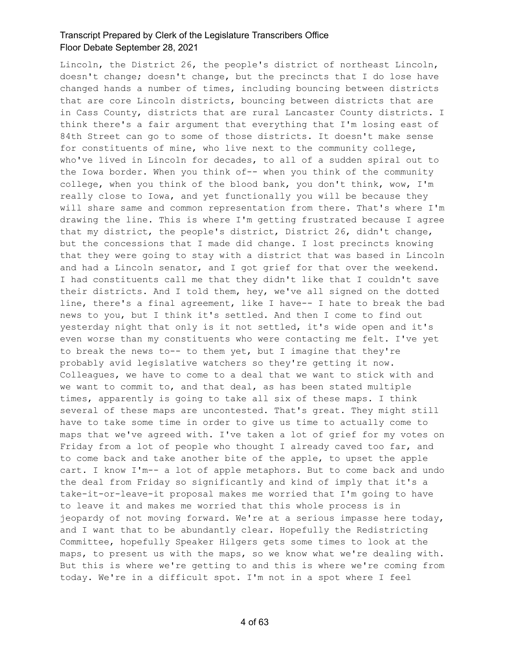Lincoln, the District 26, the people's district of northeast Lincoln, doesn't change; doesn't change, but the precincts that I do lose have changed hands a number of times, including bouncing between districts that are core Lincoln districts, bouncing between districts that are in Cass County, districts that are rural Lancaster County districts. I think there's a fair argument that everything that I'm losing east of 84th Street can go to some of those districts. It doesn't make sense for constituents of mine, who live next to the community college, who've lived in Lincoln for decades, to all of a sudden spiral out to the Iowa border. When you think of-- when you think of the community college, when you think of the blood bank, you don't think, wow, I'm really close to Iowa, and yet functionally you will be because they will share same and common representation from there. That's where I'm drawing the line. This is where I'm getting frustrated because I agree that my district, the people's district, District 26, didn't change, but the concessions that I made did change. I lost precincts knowing that they were going to stay with a district that was based in Lincoln and had a Lincoln senator, and I got grief for that over the weekend. I had constituents call me that they didn't like that I couldn't save their districts. And I told them, hey, we've all signed on the dotted line, there's a final agreement, like I have-- I hate to break the bad news to you, but I think it's settled. And then I come to find out yesterday night that only is it not settled, it's wide open and it's even worse than my constituents who were contacting me felt. I've yet to break the news to-- to them yet, but I imagine that they're probably avid legislative watchers so they're getting it now. Colleagues, we have to come to a deal that we want to stick with and we want to commit to, and that deal, as has been stated multiple times, apparently is going to take all six of these maps. I think several of these maps are uncontested. That's great. They might still have to take some time in order to give us time to actually come to maps that we've agreed with. I've taken a lot of grief for my votes on Friday from a lot of people who thought I already caved too far, and to come back and take another bite of the apple, to upset the apple cart. I know I'm-- a lot of apple metaphors. But to come back and undo the deal from Friday so significantly and kind of imply that it's a take-it-or-leave-it proposal makes me worried that I'm going to have to leave it and makes me worried that this whole process is in jeopardy of not moving forward. We're at a serious impasse here today, and I want that to be abundantly clear. Hopefully the Redistricting Committee, hopefully Speaker Hilgers gets some times to look at the maps, to present us with the maps, so we know what we're dealing with. But this is where we're getting to and this is where we're coming from today. We're in a difficult spot. I'm not in a spot where I feel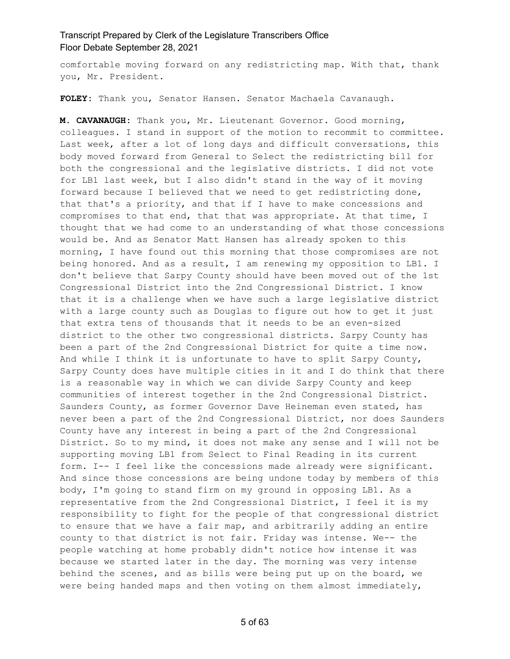comfortable moving forward on any redistricting map. With that, thank you, Mr. President.

**FOLEY:** Thank you, Senator Hansen. Senator Machaela Cavanaugh.

**M. CAVANAUGH:** Thank you, Mr. Lieutenant Governor. Good morning, colleagues. I stand in support of the motion to recommit to committee. Last week, after a lot of long days and difficult conversations, this body moved forward from General to Select the redistricting bill for both the congressional and the legislative districts. I did not vote for LB1 last week, but I also didn't stand in the way of it moving forward because I believed that we need to get redistricting done, that that's a priority, and that if I have to make concessions and compromises to that end, that that was appropriate. At that time, I thought that we had come to an understanding of what those concessions would be. And as Senator Matt Hansen has already spoken to this morning, I have found out this morning that those compromises are not being honored. And as a result, I am renewing my opposition to LB1. I don't believe that Sarpy County should have been moved out of the 1st Congressional District into the 2nd Congressional District. I know that it is a challenge when we have such a large legislative district with a large county such as Douglas to figure out how to get it just that extra tens of thousands that it needs to be an even-sized district to the other two congressional districts. Sarpy County has been a part of the 2nd Congressional District for quite a time now. And while I think it is unfortunate to have to split Sarpy County, Sarpy County does have multiple cities in it and I do think that there is a reasonable way in which we can divide Sarpy County and keep communities of interest together in the 2nd Congressional District. Saunders County, as former Governor Dave Heineman even stated, has never been a part of the 2nd Congressional District, nor does Saunders County have any interest in being a part of the 2nd Congressional District. So to my mind, it does not make any sense and I will not be supporting moving LB1 from Select to Final Reading in its current form. I-- I feel like the concessions made already were significant. And since those concessions are being undone today by members of this body, I'm going to stand firm on my ground in opposing LB1. As a representative from the 2nd Congressional District, I feel it is my responsibility to fight for the people of that congressional district to ensure that we have a fair map, and arbitrarily adding an entire county to that district is not fair. Friday was intense. We-- the people watching at home probably didn't notice how intense it was because we started later in the day. The morning was very intense behind the scenes, and as bills were being put up on the board, we were being handed maps and then voting on them almost immediately,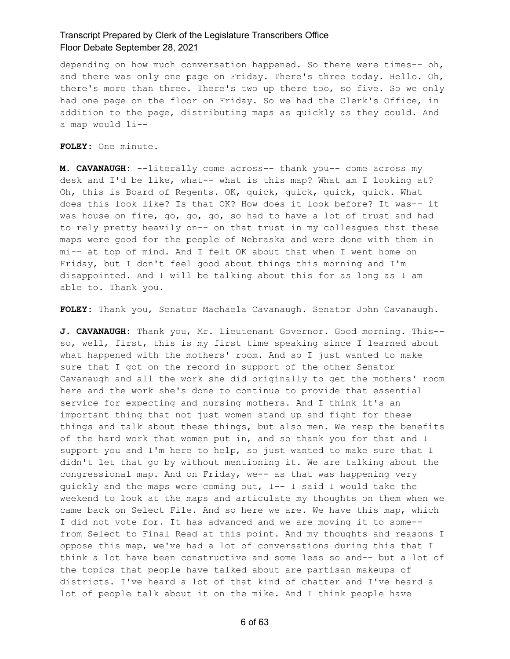depending on how much conversation happened. So there were times-- oh, and there was only one page on Friday. There's three today. Hello. Oh, there's more than three. There's two up there too, so five. So we only had one page on the floor on Friday. So we had the Clerk's Office, in addition to the page, distributing maps as quickly as they could. And a map would li--

**FOLEY:** One minute.

**M. CAVANAUGH:** --literally come across-- thank you-- come across my desk and I'd be like, what-- what is this map? What am I looking at? Oh, this is Board of Regents. OK, quick, quick, quick, quick. What does this look like? Is that OK? How does it look before? It was-- it was house on fire, go, go, go, so had to have a lot of trust and had to rely pretty heavily on-- on that trust in my colleagues that these maps were good for the people of Nebraska and were done with them in mi-- at top of mind. And I felt OK about that when I went home on Friday, but I don't feel good about things this morning and I'm disappointed. And I will be talking about this for as long as I am able to. Thank you.

**FOLEY:** Thank you, Senator Machaela Cavanaugh. Senator John Cavanaugh.

**J. CAVANAUGH:** Thank you, Mr. Lieutenant Governor. Good morning. This- so, well, first, this is my first time speaking since I learned about what happened with the mothers' room. And so I just wanted to make sure that I got on the record in support of the other Senator Cavanaugh and all the work she did originally to get the mothers' room here and the work she's done to continue to provide that essential service for expecting and nursing mothers. And I think it's an important thing that not just women stand up and fight for these things and talk about these things, but also men. We reap the benefits of the hard work that women put in, and so thank you for that and I support you and I'm here to help, so just wanted to make sure that I didn't let that go by without mentioning it. We are talking about the congressional map. And on Friday, we-- as that was happening very quickly and the maps were coming out, I-- I said I would take the weekend to look at the maps and articulate my thoughts on them when we came back on Select File. And so here we are. We have this map, which I did not vote for. It has advanced and we are moving it to some- from Select to Final Read at this point. And my thoughts and reasons I oppose this map, we've had a lot of conversations during this that I think a lot have been constructive and some less so and-- but a lot of the topics that people have talked about are partisan makeups of districts. I've heard a lot of that kind of chatter and I've heard a lot of people talk about it on the mike. And I think people have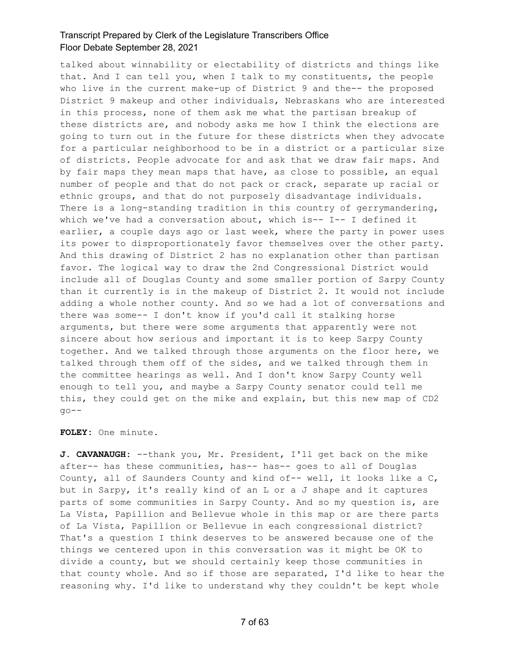talked about winnability or electability of districts and things like that. And I can tell you, when I talk to my constituents, the people who live in the current make-up of District 9 and the-- the proposed District 9 makeup and other individuals, Nebraskans who are interested in this process, none of them ask me what the partisan breakup of these districts are, and nobody asks me how I think the elections are going to turn out in the future for these districts when they advocate for a particular neighborhood to be in a district or a particular size of districts. People advocate for and ask that we draw fair maps. And by fair maps they mean maps that have, as close to possible, an equal number of people and that do not pack or crack, separate up racial or ethnic groups, and that do not purposely disadvantage individuals. There is a long-standing tradition in this country of gerrymandering, which we've had a conversation about, which is-- I-- I defined it earlier, a couple days ago or last week, where the party in power uses its power to disproportionately favor themselves over the other party. And this drawing of District 2 has no explanation other than partisan favor. The logical way to draw the 2nd Congressional District would include all of Douglas County and some smaller portion of Sarpy County than it currently is in the makeup of District 2. It would not include adding a whole nother county. And so we had a lot of conversations and there was some-- I don't know if you'd call it stalking horse arguments, but there were some arguments that apparently were not sincere about how serious and important it is to keep Sarpy County together. And we talked through those arguments on the floor here, we talked through them off of the sides, and we talked through them in the committee hearings as well. And I don't know Sarpy County well enough to tell you, and maybe a Sarpy County senator could tell me this, they could get on the mike and explain, but this new map of CD2  $q_0$  -  $-$ 

#### **FOLEY:** One minute.

**J. CAVANAUGH:** --thank you, Mr. President, I'll get back on the mike after-- has these communities, has-- has-- goes to all of Douglas County, all of Saunders County and kind of-- well, it looks like a C, but in Sarpy, it's really kind of an L or a J shape and it captures parts of some communities in Sarpy County. And so my question is, are La Vista, Papillion and Bellevue whole in this map or are there parts of La Vista, Papillion or Bellevue in each congressional district? That's a question I think deserves to be answered because one of the things we centered upon in this conversation was it might be OK to divide a county, but we should certainly keep those communities in that county whole. And so if those are separated, I'd like to hear the reasoning why. I'd like to understand why they couldn't be kept whole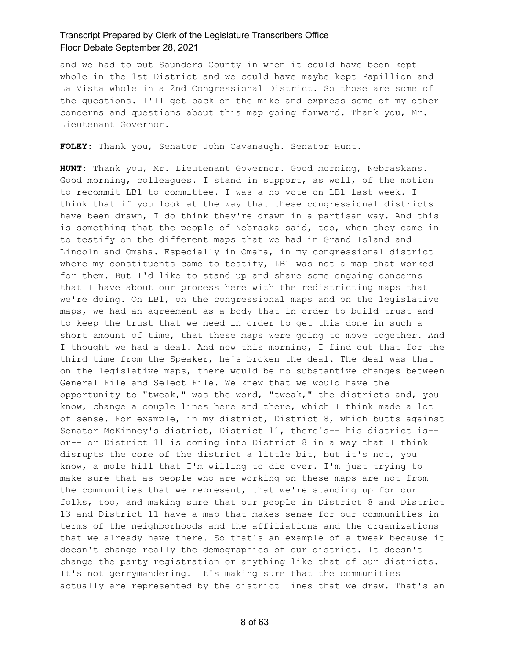and we had to put Saunders County in when it could have been kept whole in the 1st District and we could have maybe kept Papillion and La Vista whole in a 2nd Congressional District. So those are some of the questions. I'll get back on the mike and express some of my other concerns and questions about this map going forward. Thank you, Mr. Lieutenant Governor.

**FOLEY:** Thank you, Senator John Cavanaugh. Senator Hunt.

**HUNT:** Thank you, Mr. Lieutenant Governor. Good morning, Nebraskans. Good morning, colleagues. I stand in support, as well, of the motion to recommit LB1 to committee. I was a no vote on LB1 last week. I think that if you look at the way that these congressional districts have been drawn, I do think they're drawn in a partisan way. And this is something that the people of Nebraska said, too, when they came in to testify on the different maps that we had in Grand Island and Lincoln and Omaha. Especially in Omaha, in my congressional district where my constituents came to testify, LB1 was not a map that worked for them. But I'd like to stand up and share some ongoing concerns that I have about our process here with the redistricting maps that we're doing. On LB1, on the congressional maps and on the legislative maps, we had an agreement as a body that in order to build trust and to keep the trust that we need in order to get this done in such a short amount of time, that these maps were going to move together. And I thought we had a deal. And now this morning, I find out that for the third time from the Speaker, he's broken the deal. The deal was that on the legislative maps, there would be no substantive changes between General File and Select File. We knew that we would have the opportunity to "tweak," was the word, "tweak," the districts and, you know, change a couple lines here and there, which I think made a lot of sense. For example, in my district, District 8, which butts against Senator McKinney's district, District 11, there's-- his district is- or-- or District 11 is coming into District 8 in a way that I think disrupts the core of the district a little bit, but it's not, you know, a mole hill that I'm willing to die over. I'm just trying to make sure that as people who are working on these maps are not from the communities that we represent, that we're standing up for our folks, too, and making sure that our people in District 8 and District 13 and District 11 have a map that makes sense for our communities in terms of the neighborhoods and the affiliations and the organizations that we already have there. So that's an example of a tweak because it doesn't change really the demographics of our district. It doesn't change the party registration or anything like that of our districts. It's not gerrymandering. It's making sure that the communities actually are represented by the district lines that we draw. That's an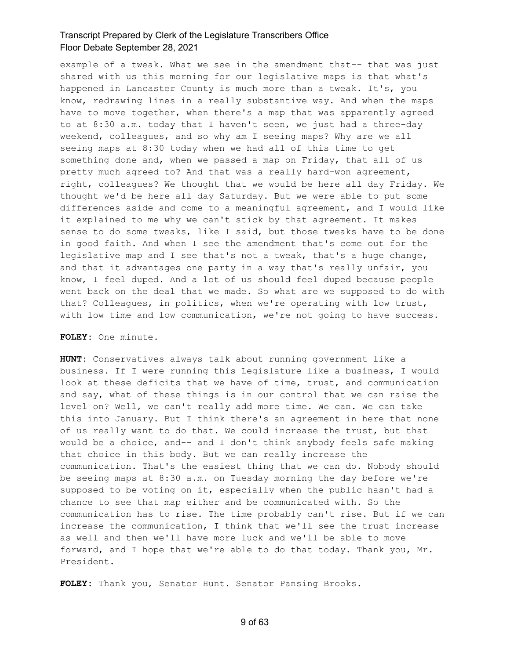example of a tweak. What we see in the amendment that-- that was just shared with us this morning for our legislative maps is that what's happened in Lancaster County is much more than a tweak. It's, you know, redrawing lines in a really substantive way. And when the maps have to move together, when there's a map that was apparently agreed to at 8:30 a.m. today that I haven't seen, we just had a three-day weekend, colleagues, and so why am I seeing maps? Why are we all seeing maps at 8:30 today when we had all of this time to get something done and, when we passed a map on Friday, that all of us pretty much agreed to? And that was a really hard-won agreement, right, colleagues? We thought that we would be here all day Friday. We thought we'd be here all day Saturday. But we were able to put some differences aside and come to a meaningful agreement, and I would like it explained to me why we can't stick by that agreement. It makes sense to do some tweaks, like I said, but those tweaks have to be done in good faith. And when I see the amendment that's come out for the legislative map and I see that's not a tweak, that's a huge change, and that it advantages one party in a way that's really unfair, you know, I feel duped. And a lot of us should feel duped because people went back on the deal that we made. So what are we supposed to do with that? Colleagues, in politics, when we're operating with low trust, with low time and low communication, we're not going to have success.

#### **FOLEY:** One minute.

**HUNT:** Conservatives always talk about running government like a business. If I were running this Legislature like a business, I would look at these deficits that we have of time, trust, and communication and say, what of these things is in our control that we can raise the level on? Well, we can't really add more time. We can. We can take this into January. But I think there's an agreement in here that none of us really want to do that. We could increase the trust, but that would be a choice, and-- and I don't think anybody feels safe making that choice in this body. But we can really increase the communication. That's the easiest thing that we can do. Nobody should be seeing maps at 8:30 a.m. on Tuesday morning the day before we're supposed to be voting on it, especially when the public hasn't had a chance to see that map either and be communicated with. So the communication has to rise. The time probably can't rise. But if we can increase the communication, I think that we'll see the trust increase as well and then we'll have more luck and we'll be able to move forward, and I hope that we're able to do that today. Thank you, Mr. President.

**FOLEY:** Thank you, Senator Hunt. Senator Pansing Brooks.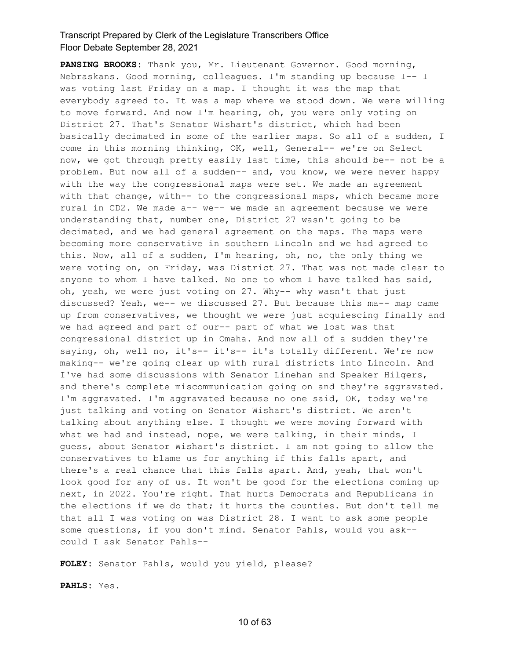**PANSING BROOKS:** Thank you, Mr. Lieutenant Governor. Good morning, Nebraskans. Good morning, colleagues. I'm standing up because I-- I was voting last Friday on a map. I thought it was the map that everybody agreed to. It was a map where we stood down. We were willing to move forward. And now I'm hearing, oh, you were only voting on District 27. That's Senator Wishart's district, which had been basically decimated in some of the earlier maps. So all of a sudden, I come in this morning thinking, OK, well, General-- we're on Select now, we got through pretty easily last time, this should be-- not be a problem. But now all of a sudden-- and, you know, we were never happy with the way the congressional maps were set. We made an agreement with that change, with-- to the congressional maps, which became more rural in CD2. We made a-- we-- we made an agreement because we were understanding that, number one, District 27 wasn't going to be decimated, and we had general agreement on the maps. The maps were becoming more conservative in southern Lincoln and we had agreed to this. Now, all of a sudden, I'm hearing, oh, no, the only thing we were voting on, on Friday, was District 27. That was not made clear to anyone to whom I have talked. No one to whom I have talked has said, oh, yeah, we were just voting on 27. Why-- why wasn't that just discussed? Yeah, we-- we discussed 27. But because this ma-- map came up from conservatives, we thought we were just acquiescing finally and we had agreed and part of our-- part of what we lost was that congressional district up in Omaha. And now all of a sudden they're saying, oh, well no, it's-- it's-- it's totally different. We're now making-- we're going clear up with rural districts into Lincoln. And I've had some discussions with Senator Linehan and Speaker Hilgers, and there's complete miscommunication going on and they're aggravated. I'm aggravated. I'm aggravated because no one said, OK, today we're just talking and voting on Senator Wishart's district. We aren't talking about anything else. I thought we were moving forward with what we had and instead, nope, we were talking, in their minds, I guess, about Senator Wishart's district. I am not going to allow the conservatives to blame us for anything if this falls apart, and there's a real chance that this falls apart. And, yeah, that won't look good for any of us. It won't be good for the elections coming up next, in 2022. You're right. That hurts Democrats and Republicans in the elections if we do that; it hurts the counties. But don't tell me that all I was voting on was District 28. I want to ask some people some questions, if you don't mind. Senator Pahls, would you ask- could I ask Senator Pahls--

**FOLEY:** Senator Pahls, would you yield, please?

**PAHLS:** Yes.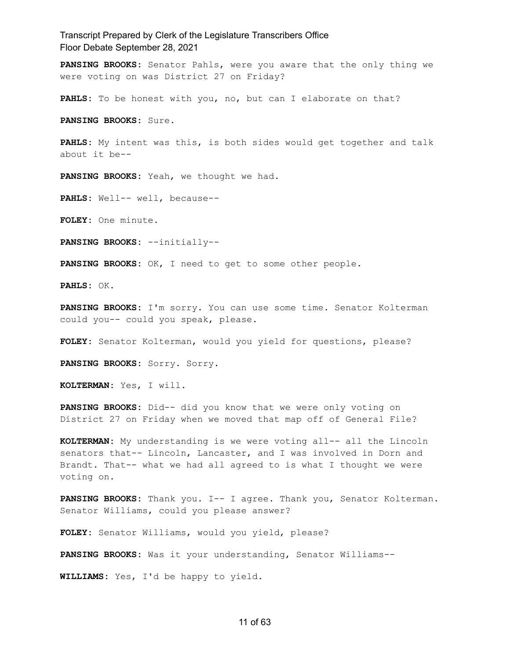**PANSING BROOKS:** Senator Pahls, were you aware that the only thing we were voting on was District 27 on Friday?

**PAHLS:** To be honest with you, no, but can I elaborate on that?

**PANSING BROOKS:** Sure.

**PAHLS:** My intent was this, is both sides would get together and talk about it be--

**PANSING BROOKS:** Yeah, we thought we had.

**PAHLS:** Well-- well, because--

**FOLEY:** One minute.

**PANSING BROOKS:** --initially--

**PANSING BROOKS:** OK, I need to get to some other people.

**PAHLS:** OK.

**PANSING BROOKS:** I'm sorry. You can use some time. Senator Kolterman could you-- could you speak, please.

**FOLEY:** Senator Kolterman, would you yield for questions, please?

**PANSING BROOKS:** Sorry. Sorry.

**KOLTERMAN:** Yes, I will.

**PANSING BROOKS:** Did-- did you know that we were only voting on District 27 on Friday when we moved that map off of General File?

**KOLTERMAN:** My understanding is we were voting all-- all the Lincoln senators that-- Lincoln, Lancaster, and I was involved in Dorn and Brandt. That-- what we had all agreed to is what I thought we were voting on.

**PANSING BROOKS:** Thank you. I-- I agree. Thank you, Senator Kolterman. Senator Williams, could you please answer?

**FOLEY:** Senator Williams, would you yield, please?

**PANSING BROOKS:** Was it your understanding, Senator Williams--

**WILLIAMS:** Yes, I'd be happy to yield.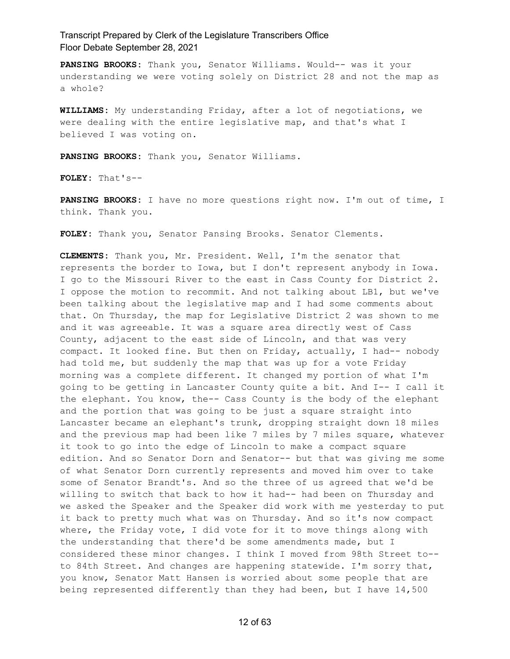**PANSING BROOKS:** Thank you, Senator Williams. Would-- was it your understanding we were voting solely on District 28 and not the map as a whole?

**WILLIAMS:** My understanding Friday, after a lot of negotiations, we were dealing with the entire legislative map, and that's what I believed I was voting on.

**PANSING BROOKS:** Thank you, Senator Williams.

**FOLEY:** That's--

**PANSING BROOKS:** I have no more questions right now. I'm out of time, I think. Thank you.

**FOLEY:** Thank you, Senator Pansing Brooks. Senator Clements.

**CLEMENTS:** Thank you, Mr. President. Well, I'm the senator that represents the border to Iowa, but I don't represent anybody in Iowa. I go to the Missouri River to the east in Cass County for District 2. I oppose the motion to recommit. And not talking about LB1, but we've been talking about the legislative map and I had some comments about that. On Thursday, the map for Legislative District 2 was shown to me and it was agreeable. It was a square area directly west of Cass County, adjacent to the east side of Lincoln, and that was very compact. It looked fine. But then on Friday, actually, I had-- nobody had told me, but suddenly the map that was up for a vote Friday morning was a complete different. It changed my portion of what I'm going to be getting in Lancaster County quite a bit. And I-- I call it the elephant. You know, the-- Cass County is the body of the elephant and the portion that was going to be just a square straight into Lancaster became an elephant's trunk, dropping straight down 18 miles and the previous map had been like 7 miles by 7 miles square, whatever it took to go into the edge of Lincoln to make a compact square edition. And so Senator Dorn and Senator-- but that was giving me some of what Senator Dorn currently represents and moved him over to take some of Senator Brandt's. And so the three of us agreed that we'd be willing to switch that back to how it had-- had been on Thursday and we asked the Speaker and the Speaker did work with me yesterday to put it back to pretty much what was on Thursday. And so it's now compact where, the Friday vote, I did vote for it to move things along with the understanding that there'd be some amendments made, but I considered these minor changes. I think I moved from 98th Street to- to 84th Street. And changes are happening statewide. I'm sorry that, you know, Senator Matt Hansen is worried about some people that are being represented differently than they had been, but I have 14,500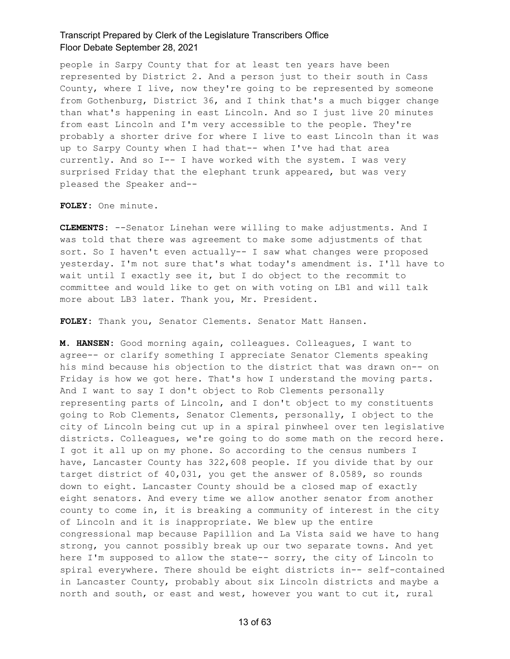people in Sarpy County that for at least ten years have been represented by District 2. And a person just to their south in Cass County, where I live, now they're going to be represented by someone from Gothenburg, District 36, and I think that's a much bigger change than what's happening in east Lincoln. And so I just live 20 minutes from east Lincoln and I'm very accessible to the people. They're probably a shorter drive for where I live to east Lincoln than it was up to Sarpy County when I had that-- when I've had that area currently. And so I-- I have worked with the system. I was very surprised Friday that the elephant trunk appeared, but was very pleased the Speaker and--

**FOLEY:** One minute.

**CLEMENTS:** --Senator Linehan were willing to make adjustments. And I was told that there was agreement to make some adjustments of that sort. So I haven't even actually-- I saw what changes were proposed yesterday. I'm not sure that's what today's amendment is. I'll have to wait until I exactly see it, but I do object to the recommit to committee and would like to get on with voting on LB1 and will talk more about LB3 later. Thank you, Mr. President.

**FOLEY:** Thank you, Senator Clements. Senator Matt Hansen.

**M. HANSEN:** Good morning again, colleagues. Colleagues, I want to agree-- or clarify something I appreciate Senator Clements speaking his mind because his objection to the district that was drawn on-- on Friday is how we got here. That's how I understand the moving parts. And I want to say I don't object to Rob Clements personally representing parts of Lincoln, and I don't object to my constituents going to Rob Clements, Senator Clements, personally, I object to the city of Lincoln being cut up in a spiral pinwheel over ten legislative districts. Colleagues, we're going to do some math on the record here. I got it all up on my phone. So according to the census numbers I have, Lancaster County has 322,608 people. If you divide that by our target district of 40,031, you get the answer of 8.0589, so rounds down to eight. Lancaster County should be a closed map of exactly eight senators. And every time we allow another senator from another county to come in, it is breaking a community of interest in the city of Lincoln and it is inappropriate. We blew up the entire congressional map because Papillion and La Vista said we have to hang strong, you cannot possibly break up our two separate towns. And yet here I'm supposed to allow the state-- sorry, the city of Lincoln to spiral everywhere. There should be eight districts in-- self-contained in Lancaster County, probably about six Lincoln districts and maybe a north and south, or east and west, however you want to cut it, rural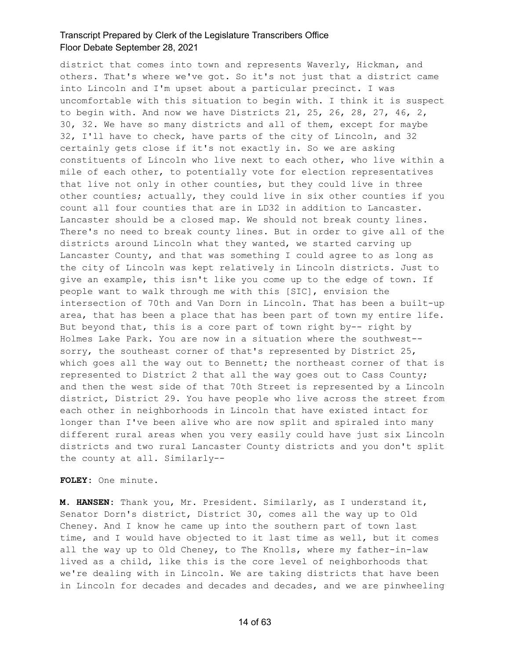district that comes into town and represents Waverly, Hickman, and others. That's where we've got. So it's not just that a district came into Lincoln and I'm upset about a particular precinct. I was uncomfortable with this situation to begin with. I think it is suspect to begin with. And now we have Districts 21, 25, 26, 28, 27, 46, 2, 30, 32. We have so many districts and all of them, except for maybe 32, I'll have to check, have parts of the city of Lincoln, and 32 certainly gets close if it's not exactly in. So we are asking constituents of Lincoln who live next to each other, who live within a mile of each other, to potentially vote for election representatives that live not only in other counties, but they could live in three other counties; actually, they could live in six other counties if you count all four counties that are in LD32 in addition to Lancaster. Lancaster should be a closed map. We should not break county lines. There's no need to break county lines. But in order to give all of the districts around Lincoln what they wanted, we started carving up Lancaster County, and that was something I could agree to as long as the city of Lincoln was kept relatively in Lincoln districts. Just to give an example, this isn't like you come up to the edge of town. If people want to walk through me with this [SIC], envision the intersection of 70th and Van Dorn in Lincoln. That has been a built-up area, that has been a place that has been part of town my entire life. But beyond that, this is a core part of town right by-- right by Holmes Lake Park. You are now in a situation where the southwest- sorry, the southeast corner of that's represented by District 25, which goes all the way out to Bennett; the northeast corner of that is represented to District 2 that all the way goes out to Cass County; and then the west side of that 70th Street is represented by a Lincoln district, District 29. You have people who live across the street from each other in neighborhoods in Lincoln that have existed intact for longer than I've been alive who are now split and spiraled into many different rural areas when you very easily could have just six Lincoln districts and two rural Lancaster County districts and you don't split the county at all. Similarly--

**FOLEY:** One minute.

**M. HANSEN:** Thank you, Mr. President. Similarly, as I understand it, Senator Dorn's district, District 30, comes all the way up to Old Cheney. And I know he came up into the southern part of town last time, and I would have objected to it last time as well, but it comes all the way up to Old Cheney, to The Knolls, where my father-in-law lived as a child, like this is the core level of neighborhoods that we're dealing with in Lincoln. We are taking districts that have been in Lincoln for decades and decades and decades, and we are pinwheeling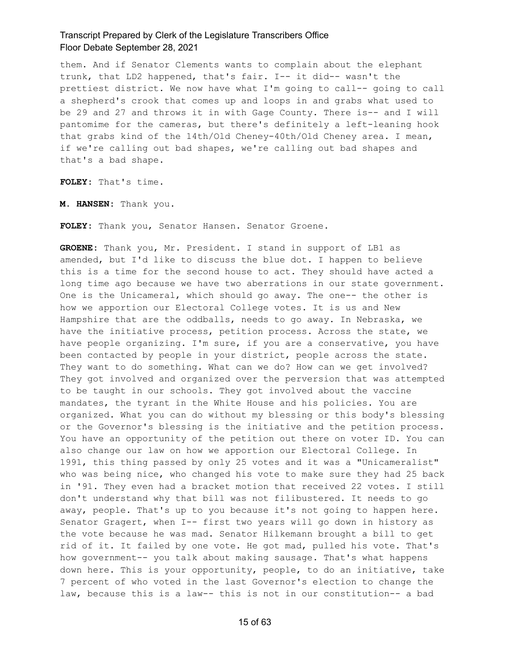them. And if Senator Clements wants to complain about the elephant trunk, that LD2 happened, that's fair. I-- it did-- wasn't the prettiest district. We now have what I'm going to call-- going to call a shepherd's crook that comes up and loops in and grabs what used to be 29 and 27 and throws it in with Gage County. There is-- and I will pantomime for the cameras, but there's definitely a left-leaning hook that grabs kind of the 14th/Old Cheney-40th/Old Cheney area. I mean, if we're calling out bad shapes, we're calling out bad shapes and that's a bad shape.

**FOLEY:** That's time.

**M. HANSEN:** Thank you.

**FOLEY:** Thank you, Senator Hansen. Senator Groene.

**GROENE:** Thank you, Mr. President. I stand in support of LB1 as amended, but I'd like to discuss the blue dot. I happen to believe this is a time for the second house to act. They should have acted a long time ago because we have two aberrations in our state government. One is the Unicameral, which should go away. The one-- the other is how we apportion our Electoral College votes. It is us and New Hampshire that are the oddballs, needs to go away. In Nebraska, we have the initiative process, petition process. Across the state, we have people organizing. I'm sure, if you are a conservative, you have been contacted by people in your district, people across the state. They want to do something. What can we do? How can we get involved? They got involved and organized over the perversion that was attempted to be taught in our schools. They got involved about the vaccine mandates, the tyrant in the White House and his policies. You are organized. What you can do without my blessing or this body's blessing or the Governor's blessing is the initiative and the petition process. You have an opportunity of the petition out there on voter ID. You can also change our law on how we apportion our Electoral College. In 1991, this thing passed by only 25 votes and it was a "Unicameralist" who was being nice, who changed his vote to make sure they had 25 back in '91. They even had a bracket motion that received 22 votes. I still don't understand why that bill was not filibustered. It needs to go away, people. That's up to you because it's not going to happen here. Senator Gragert, when I-- first two years will go down in history as the vote because he was mad. Senator Hilkemann brought a bill to get rid of it. It failed by one vote. He got mad, pulled his vote. That's how government-- you talk about making sausage. That's what happens down here. This is your opportunity, people, to do an initiative, take 7 percent of who voted in the last Governor's election to change the law, because this is a law-- this is not in our constitution-- a bad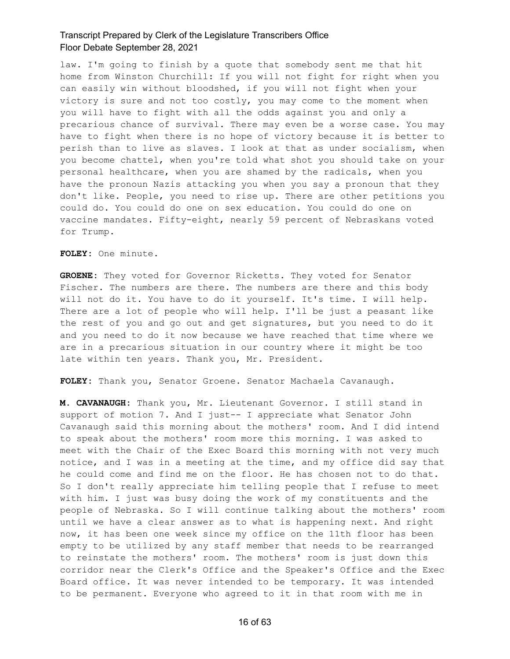law. I'm going to finish by a quote that somebody sent me that hit home from Winston Churchill: If you will not fight for right when you can easily win without bloodshed, if you will not fight when your victory is sure and not too costly, you may come to the moment when you will have to fight with all the odds against you and only a precarious chance of survival. There may even be a worse case. You may have to fight when there is no hope of victory because it is better to perish than to live as slaves. I look at that as under socialism, when you become chattel, when you're told what shot you should take on your personal healthcare, when you are shamed by the radicals, when you have the pronoun Nazis attacking you when you say a pronoun that they don't like. People, you need to rise up. There are other petitions you could do. You could do one on sex education. You could do one on vaccine mandates. Fifty-eight, nearly 59 percent of Nebraskans voted for Trump.

**FOLEY:** One minute.

**GROENE:** They voted for Governor Ricketts. They voted for Senator Fischer. The numbers are there. The numbers are there and this body will not do it. You have to do it yourself. It's time. I will help. There are a lot of people who will help. I'll be just a peasant like the rest of you and go out and get signatures, but you need to do it and you need to do it now because we have reached that time where we are in a precarious situation in our country where it might be too late within ten years. Thank you, Mr. President.

**FOLEY:** Thank you, Senator Groene. Senator Machaela Cavanaugh.

**M. CAVANAUGH:** Thank you, Mr. Lieutenant Governor. I still stand in support of motion 7. And I just-- I appreciate what Senator John Cavanaugh said this morning about the mothers' room. And I did intend to speak about the mothers' room more this morning. I was asked to meet with the Chair of the Exec Board this morning with not very much notice, and I was in a meeting at the time, and my office did say that he could come and find me on the floor. He has chosen not to do that. So I don't really appreciate him telling people that I refuse to meet with him. I just was busy doing the work of my constituents and the people of Nebraska. So I will continue talking about the mothers' room until we have a clear answer as to what is happening next. And right now, it has been one week since my office on the 11th floor has been empty to be utilized by any staff member that needs to be rearranged to reinstate the mothers' room. The mothers' room is just down this corridor near the Clerk's Office and the Speaker's Office and the Exec Board office. It was never intended to be temporary. It was intended to be permanent. Everyone who agreed to it in that room with me in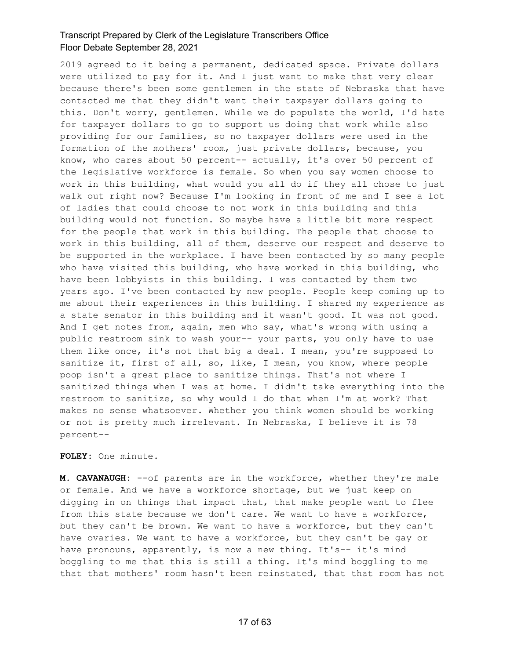2019 agreed to it being a permanent, dedicated space. Private dollars were utilized to pay for it. And I just want to make that very clear because there's been some gentlemen in the state of Nebraska that have contacted me that they didn't want their taxpayer dollars going to this. Don't worry, gentlemen. While we do populate the world, I'd hate for taxpayer dollars to go to support us doing that work while also providing for our families, so no taxpayer dollars were used in the formation of the mothers' room, just private dollars, because, you know, who cares about 50 percent-- actually, it's over 50 percent of the legislative workforce is female. So when you say women choose to work in this building, what would you all do if they all chose to just walk out right now? Because I'm looking in front of me and I see a lot of ladies that could choose to not work in this building and this building would not function. So maybe have a little bit more respect for the people that work in this building. The people that choose to work in this building, all of them, deserve our respect and deserve to be supported in the workplace. I have been contacted by so many people who have visited this building, who have worked in this building, who have been lobbyists in this building. I was contacted by them two years ago. I've been contacted by new people. People keep coming up to me about their experiences in this building. I shared my experience as a state senator in this building and it wasn't good. It was not good. And I get notes from, again, men who say, what's wrong with using a public restroom sink to wash your-- your parts, you only have to use them like once, it's not that big a deal. I mean, you're supposed to sanitize it, first of all, so, like, I mean, you know, where people poop isn't a great place to sanitize things. That's not where I sanitized things when I was at home. I didn't take everything into the restroom to sanitize, so why would I do that when I'm at work? That makes no sense whatsoever. Whether you think women should be working or not is pretty much irrelevant. In Nebraska, I believe it is 78 percent--

**FOLEY:** One minute.

**M. CAVANAUGH:** --of parents are in the workforce, whether they're male or female. And we have a workforce shortage, but we just keep on digging in on things that impact that, that make people want to flee from this state because we don't care. We want to have a workforce, but they can't be brown. We want to have a workforce, but they can't have ovaries. We want to have a workforce, but they can't be gay or have pronouns, apparently, is now a new thing. It's-- it's mind boggling to me that this is still a thing. It's mind boggling to me that that mothers' room hasn't been reinstated, that that room has not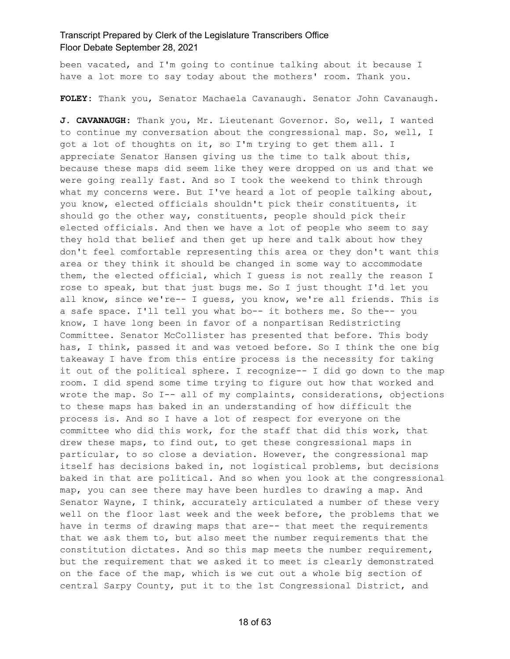been vacated, and I'm going to continue talking about it because I have a lot more to say today about the mothers' room. Thank you.

**FOLEY:** Thank you, Senator Machaela Cavanaugh. Senator John Cavanaugh.

**J. CAVANAUGH:** Thank you, Mr. Lieutenant Governor. So, well, I wanted to continue my conversation about the congressional map. So, well, I got a lot of thoughts on it, so I'm trying to get them all. I appreciate Senator Hansen giving us the time to talk about this, because these maps did seem like they were dropped on us and that we were going really fast. And so I took the weekend to think through what my concerns were. But I've heard a lot of people talking about, you know, elected officials shouldn't pick their constituents, it should go the other way, constituents, people should pick their elected officials. And then we have a lot of people who seem to say they hold that belief and then get up here and talk about how they don't feel comfortable representing this area or they don't want this area or they think it should be changed in some way to accommodate them, the elected official, which I guess is not really the reason I rose to speak, but that just bugs me. So I just thought I'd let you all know, since we're-- I guess, you know, we're all friends. This is a safe space. I'll tell you what bo-- it bothers me. So the-- you know, I have long been in favor of a nonpartisan Redistricting Committee. Senator McCollister has presented that before. This body has, I think, passed it and was vetoed before. So I think the one big takeaway I have from this entire process is the necessity for taking it out of the political sphere. I recognize-- I did go down to the map room. I did spend some time trying to figure out how that worked and wrote the map. So I-- all of my complaints, considerations, objections to these maps has baked in an understanding of how difficult the process is. And so I have a lot of respect for everyone on the committee who did this work, for the staff that did this work, that drew these maps, to find out, to get these congressional maps in particular, to so close a deviation. However, the congressional map itself has decisions baked in, not logistical problems, but decisions baked in that are political. And so when you look at the congressional map, you can see there may have been hurdles to drawing a map. And Senator Wayne, I think, accurately articulated a number of these very well on the floor last week and the week before, the problems that we have in terms of drawing maps that are-- that meet the requirements that we ask them to, but also meet the number requirements that the constitution dictates. And so this map meets the number requirement, but the requirement that we asked it to meet is clearly demonstrated on the face of the map, which is we cut out a whole big section of central Sarpy County, put it to the 1st Congressional District, and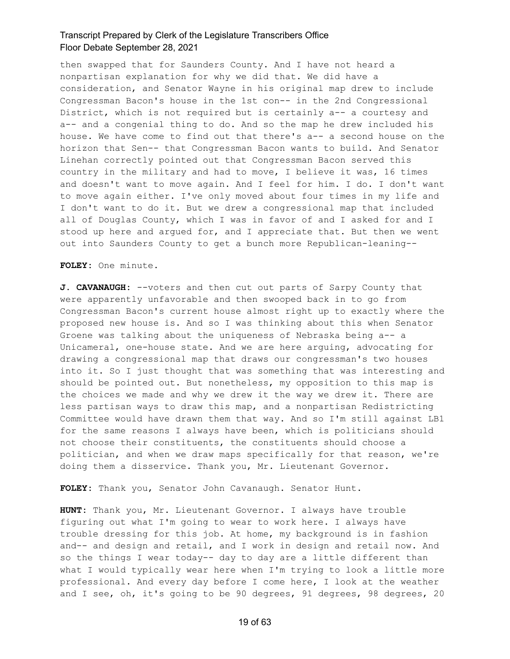then swapped that for Saunders County. And I have not heard a nonpartisan explanation for why we did that. We did have a consideration, and Senator Wayne in his original map drew to include Congressman Bacon's house in the 1st con-- in the 2nd Congressional District, which is not required but is certainly a-- a courtesy and a-- and a congenial thing to do. And so the map he drew included his house. We have come to find out that there's a-- a second house on the horizon that Sen-- that Congressman Bacon wants to build. And Senator Linehan correctly pointed out that Congressman Bacon served this country in the military and had to move, I believe it was, 16 times and doesn't want to move again. And I feel for him. I do. I don't want to move again either. I've only moved about four times in my life and I don't want to do it. But we drew a congressional map that included all of Douglas County, which I was in favor of and I asked for and I stood up here and argued for, and I appreciate that. But then we went out into Saunders County to get a bunch more Republican-leaning--

**FOLEY:** One minute.

**J. CAVANAUGH:** --voters and then cut out parts of Sarpy County that were apparently unfavorable and then swooped back in to go from Congressman Bacon's current house almost right up to exactly where the proposed new house is. And so I was thinking about this when Senator Groene was talking about the uniqueness of Nebraska being a-- a Unicameral, one-house state. And we are here arguing, advocating for drawing a congressional map that draws our congressman's two houses into it. So I just thought that was something that was interesting and should be pointed out. But nonetheless, my opposition to this map is the choices we made and why we drew it the way we drew it. There are less partisan ways to draw this map, and a nonpartisan Redistricting Committee would have drawn them that way. And so I'm still against LB1 for the same reasons I always have been, which is politicians should not choose their constituents, the constituents should choose a politician, and when we draw maps specifically for that reason, we're doing them a disservice. Thank you, Mr. Lieutenant Governor.

**FOLEY:** Thank you, Senator John Cavanaugh. Senator Hunt.

**HUNT:** Thank you, Mr. Lieutenant Governor. I always have trouble figuring out what I'm going to wear to work here. I always have trouble dressing for this job. At home, my background is in fashion and-- and design and retail, and I work in design and retail now. And so the things I wear today-- day to day are a little different than what I would typically wear here when I'm trying to look a little more professional. And every day before I come here, I look at the weather and I see, oh, it's going to be 90 degrees, 91 degrees, 98 degrees, 20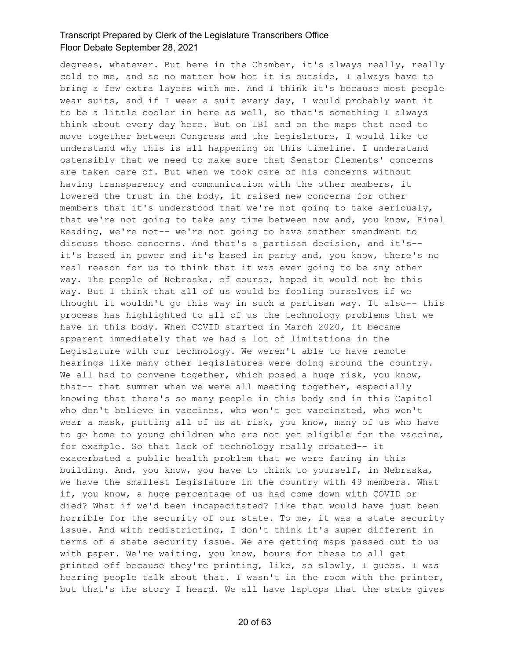degrees, whatever. But here in the Chamber, it's always really, really cold to me, and so no matter how hot it is outside, I always have to bring a few extra layers with me. And I think it's because most people wear suits, and if I wear a suit every day, I would probably want it to be a little cooler in here as well, so that's something I always think about every day here. But on LB1 and on the maps that need to move together between Congress and the Legislature, I would like to understand why this is all happening on this timeline. I understand ostensibly that we need to make sure that Senator Clements' concerns are taken care of. But when we took care of his concerns without having transparency and communication with the other members, it lowered the trust in the body, it raised new concerns for other members that it's understood that we're not going to take seriously, that we're not going to take any time between now and, you know, Final Reading, we're not-- we're not going to have another amendment to discuss those concerns. And that's a partisan decision, and it's- it's based in power and it's based in party and, you know, there's no real reason for us to think that it was ever going to be any other way. The people of Nebraska, of course, hoped it would not be this way. But I think that all of us would be fooling ourselves if we thought it wouldn't go this way in such a partisan way. It also-- this process has highlighted to all of us the technology problems that we have in this body. When COVID started in March 2020, it became apparent immediately that we had a lot of limitations in the Legislature with our technology. We weren't able to have remote hearings like many other legislatures were doing around the country. We all had to convene together, which posed a huge risk, you know, that-- that summer when we were all meeting together, especially knowing that there's so many people in this body and in this Capitol who don't believe in vaccines, who won't get vaccinated, who won't wear a mask, putting all of us at risk, you know, many of us who have to go home to young children who are not yet eligible for the vaccine, for example. So that lack of technology really created-- it exacerbated a public health problem that we were facing in this building. And, you know, you have to think to yourself, in Nebraska, we have the smallest Legislature in the country with 49 members. What if, you know, a huge percentage of us had come down with COVID or died? What if we'd been incapacitated? Like that would have just been horrible for the security of our state. To me, it was a state security issue. And with redistricting, I don't think it's super different in terms of a state security issue. We are getting maps passed out to us with paper. We're waiting, you know, hours for these to all get printed off because they're printing, like, so slowly, I guess. I was hearing people talk about that. I wasn't in the room with the printer, but that's the story I heard. We all have laptops that the state gives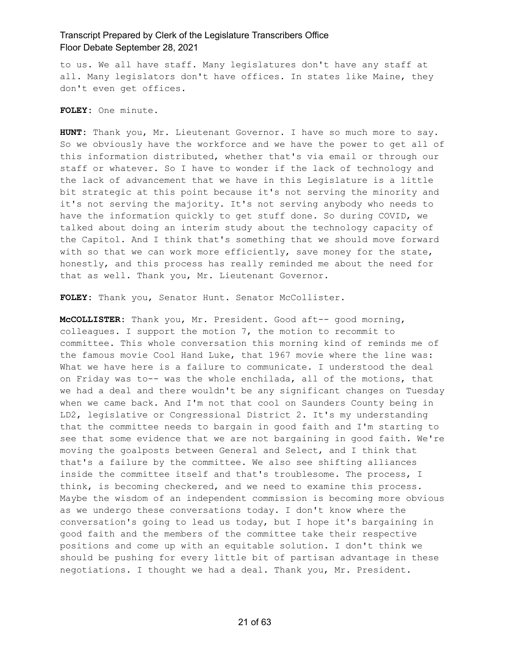to us. We all have staff. Many legislatures don't have any staff at all. Many legislators don't have offices. In states like Maine, they don't even get offices.

**FOLEY:** One minute.

**HUNT:** Thank you, Mr. Lieutenant Governor. I have so much more to say. So we obviously have the workforce and we have the power to get all of this information distributed, whether that's via email or through our staff or whatever. So I have to wonder if the lack of technology and the lack of advancement that we have in this Legislature is a little bit strategic at this point because it's not serving the minority and it's not serving the majority. It's not serving anybody who needs to have the information quickly to get stuff done. So during COVID, we talked about doing an interim study about the technology capacity of the Capitol. And I think that's something that we should move forward with so that we can work more efficiently, save money for the state, honestly, and this process has really reminded me about the need for that as well. Thank you, Mr. Lieutenant Governor.

FOLEY: Thank you, Senator Hunt. Senator McCollister.

**McCOLLISTER:** Thank you, Mr. President. Good aft-- good morning, colleagues. I support the motion 7, the motion to recommit to committee. This whole conversation this morning kind of reminds me of the famous movie Cool Hand Luke, that 1967 movie where the line was: What we have here is a failure to communicate. I understood the deal on Friday was to-- was the whole enchilada, all of the motions, that we had a deal and there wouldn't be any significant changes on Tuesday when we came back. And I'm not that cool on Saunders County being in LD2, legislative or Congressional District 2. It's my understanding that the committee needs to bargain in good faith and I'm starting to see that some evidence that we are not bargaining in good faith. We're moving the goalposts between General and Select, and I think that that's a failure by the committee. We also see shifting alliances inside the committee itself and that's troublesome. The process, I think, is becoming checkered, and we need to examine this process. Maybe the wisdom of an independent commission is becoming more obvious as we undergo these conversations today. I don't know where the conversation's going to lead us today, but I hope it's bargaining in good faith and the members of the committee take their respective positions and come up with an equitable solution. I don't think we should be pushing for every little bit of partisan advantage in these negotiations. I thought we had a deal. Thank you, Mr. President.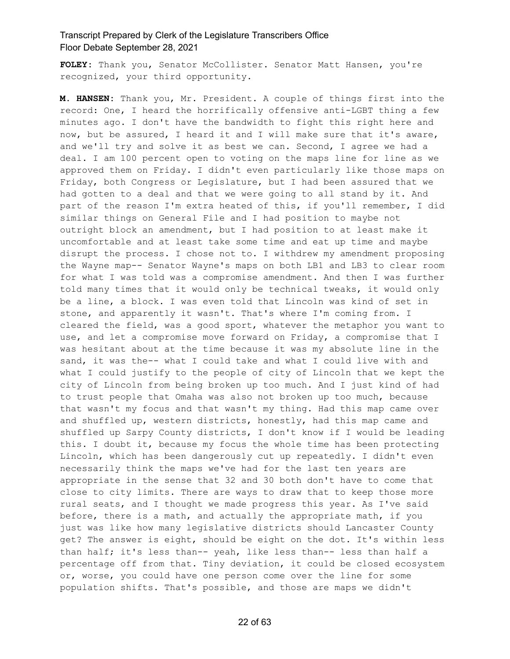**FOLEY:** Thank you, Senator McCollister. Senator Matt Hansen, you're recognized, your third opportunity.

**M. HANSEN:** Thank you, Mr. President. A couple of things first into the record: One, I heard the horrifically offensive anti-LGBT thing a few minutes ago. I don't have the bandwidth to fight this right here and now, but be assured, I heard it and I will make sure that it's aware, and we'll try and solve it as best we can. Second, I agree we had a deal. I am 100 percent open to voting on the maps line for line as we approved them on Friday. I didn't even particularly like those maps on Friday, both Congress or Legislature, but I had been assured that we had gotten to a deal and that we were going to all stand by it. And part of the reason I'm extra heated of this, if you'll remember, I did similar things on General File and I had position to maybe not outright block an amendment, but I had position to at least make it uncomfortable and at least take some time and eat up time and maybe disrupt the process. I chose not to. I withdrew my amendment proposing the Wayne map-- Senator Wayne's maps on both LB1 and LB3 to clear room for what I was told was a compromise amendment. And then I was further told many times that it would only be technical tweaks, it would only be a line, a block. I was even told that Lincoln was kind of set in stone, and apparently it wasn't. That's where I'm coming from. I cleared the field, was a good sport, whatever the metaphor you want to use, and let a compromise move forward on Friday, a compromise that I was hesitant about at the time because it was my absolute line in the sand, it was the-- what I could take and what I could live with and what I could justify to the people of city of Lincoln that we kept the city of Lincoln from being broken up too much. And I just kind of had to trust people that Omaha was also not broken up too much, because that wasn't my focus and that wasn't my thing. Had this map came over and shuffled up, western districts, honestly, had this map came and shuffled up Sarpy County districts, I don't know if I would be leading this. I doubt it, because my focus the whole time has been protecting Lincoln, which has been dangerously cut up repeatedly. I didn't even necessarily think the maps we've had for the last ten years are appropriate in the sense that 32 and 30 both don't have to come that close to city limits. There are ways to draw that to keep those more rural seats, and I thought we made progress this year. As I've said before, there is a math, and actually the appropriate math, if you just was like how many legislative districts should Lancaster County get? The answer is eight, should be eight on the dot. It's within less than half; it's less than-- yeah, like less than-- less than half a percentage off from that. Tiny deviation, it could be closed ecosystem or, worse, you could have one person come over the line for some population shifts. That's possible, and those are maps we didn't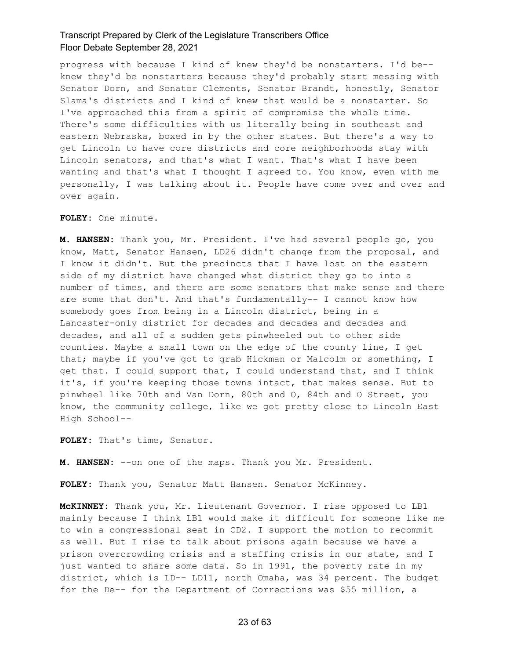progress with because I kind of knew they'd be nonstarters. I'd be- knew they'd be nonstarters because they'd probably start messing with Senator Dorn, and Senator Clements, Senator Brandt, honestly, Senator Slama's districts and I kind of knew that would be a nonstarter. So I've approached this from a spirit of compromise the whole time. There's some difficulties with us literally being in southeast and eastern Nebraska, boxed in by the other states. But there's a way to get Lincoln to have core districts and core neighborhoods stay with Lincoln senators, and that's what I want. That's what I have been wanting and that's what I thought I agreed to. You know, even with me personally, I was talking about it. People have come over and over and over again.

#### **FOLEY:** One minute.

**M. HANSEN:** Thank you, Mr. President. I've had several people go, you know, Matt, Senator Hansen, LD26 didn't change from the proposal, and I know it didn't. But the precincts that I have lost on the eastern side of my district have changed what district they go to into a number of times, and there are some senators that make sense and there are some that don't. And that's fundamentally-- I cannot know how somebody goes from being in a Lincoln district, being in a Lancaster-only district for decades and decades and decades and decades, and all of a sudden gets pinwheeled out to other side counties. Maybe a small town on the edge of the county line, I get that; maybe if you've got to grab Hickman or Malcolm or something, I get that. I could support that, I could understand that, and I think it's, if you're keeping those towns intact, that makes sense. But to pinwheel like 70th and Van Dorn, 80th and O, 84th and O Street, you know, the community college, like we got pretty close to Lincoln East High School--

**FOLEY:** That's time, Senator.

**M. HANSEN:** --on one of the maps. Thank you Mr. President.

**FOLEY:** Thank you, Senator Matt Hansen. Senator McKinney.

**McKINNEY:** Thank you, Mr. Lieutenant Governor. I rise opposed to LB1 mainly because I think LB1 would make it difficult for someone like me to win a congressional seat in CD2. I support the motion to recommit as well. But I rise to talk about prisons again because we have a prison overcrowding crisis and a staffing crisis in our state, and I just wanted to share some data. So in 1991, the poverty rate in my district, which is LD-- LD11, north Omaha, was 34 percent. The budget for the De-- for the Department of Corrections was \$55 million, a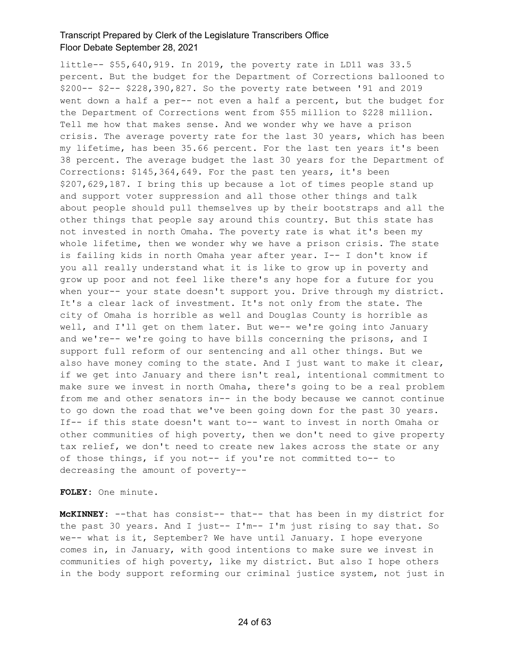little-- \$55,640,919. In 2019, the poverty rate in LD11 was 33.5 percent. But the budget for the Department of Corrections ballooned to \$200-- \$2-- \$228,390,827. So the poverty rate between '91 and 2019 went down a half a per-- not even a half a percent, but the budget for the Department of Corrections went from \$55 million to \$228 million. Tell me how that makes sense. And we wonder why we have a prison crisis. The average poverty rate for the last 30 years, which has been my lifetime, has been 35.66 percent. For the last ten years it's been 38 percent. The average budget the last 30 years for the Department of Corrections: \$145,364,649. For the past ten years, it's been \$207,629,187. I bring this up because a lot of times people stand up and support voter suppression and all those other things and talk about people should pull themselves up by their bootstraps and all the other things that people say around this country. But this state has not invested in north Omaha. The poverty rate is what it's been my whole lifetime, then we wonder why we have a prison crisis. The state is failing kids in north Omaha year after year. I-- I don't know if you all really understand what it is like to grow up in poverty and grow up poor and not feel like there's any hope for a future for you when your-- your state doesn't support you. Drive through my district. It's a clear lack of investment. It's not only from the state. The city of Omaha is horrible as well and Douglas County is horrible as well, and I'll get on them later. But we-- we're going into January and we're-- we're going to have bills concerning the prisons, and I support full reform of our sentencing and all other things. But we also have money coming to the state. And I just want to make it clear, if we get into January and there isn't real, intentional commitment to make sure we invest in north Omaha, there's going to be a real problem from me and other senators in-- in the body because we cannot continue to go down the road that we've been going down for the past 30 years. If-- if this state doesn't want to-- want to invest in north Omaha or other communities of high poverty, then we don't need to give property tax relief, we don't need to create new lakes across the state or any of those things, if you not-- if you're not committed to-- to decreasing the amount of poverty--

**FOLEY:** One minute.

**McKINNEY:** --that has consist-- that-- that has been in my district for the past 30 years. And I just-- I'm-- I'm just rising to say that. So we-- what is it, September? We have until January. I hope everyone comes in, in January, with good intentions to make sure we invest in communities of high poverty, like my district. But also I hope others in the body support reforming our criminal justice system, not just in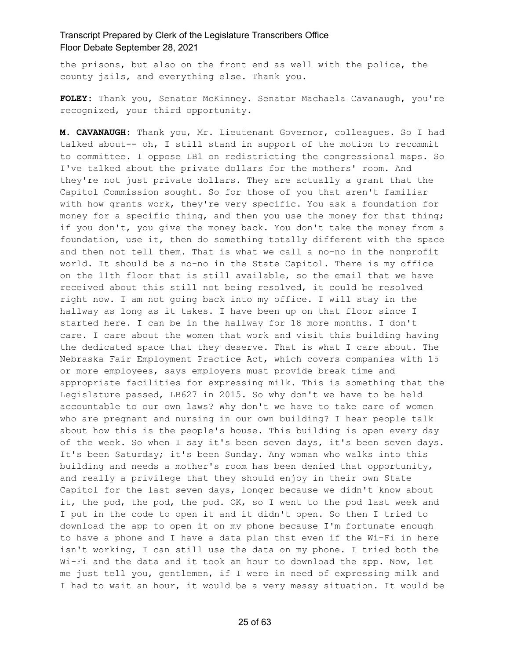the prisons, but also on the front end as well with the police, the county jails, and everything else. Thank you.

**FOLEY:** Thank you, Senator McKinney. Senator Machaela Cavanaugh, you're recognized, your third opportunity.

**M. CAVANAUGH:** Thank you, Mr. Lieutenant Governor, colleagues. So I had talked about-- oh, I still stand in support of the motion to recommit to committee. I oppose LB1 on redistricting the congressional maps. So I've talked about the private dollars for the mothers' room. And they're not just private dollars. They are actually a grant that the Capitol Commission sought. So for those of you that aren't familiar with how grants work, they're very specific. You ask a foundation for money for a specific thing, and then you use the money for that thing; if you don't, you give the money back. You don't take the money from a foundation, use it, then do something totally different with the space and then not tell them. That is what we call a no-no in the nonprofit world. It should be a no-no in the State Capitol. There is my office on the 11th floor that is still available, so the email that we have received about this still not being resolved, it could be resolved right now. I am not going back into my office. I will stay in the hallway as long as it takes. I have been up on that floor since I started here. I can be in the hallway for 18 more months. I don't care. I care about the women that work and visit this building having the dedicated space that they deserve. That is what I care about. The Nebraska Fair Employment Practice Act, which covers companies with 15 or more employees, says employers must provide break time and appropriate facilities for expressing milk. This is something that the Legislature passed, LB627 in 2015. So why don't we have to be held accountable to our own laws? Why don't we have to take care of women who are pregnant and nursing in our own building? I hear people talk about how this is the people's house. This building is open every day of the week. So when I say it's been seven days, it's been seven days. It's been Saturday; it's been Sunday. Any woman who walks into this building and needs a mother's room has been denied that opportunity, and really a privilege that they should enjoy in their own State Capitol for the last seven days, longer because we didn't know about it, the pod, the pod, the pod. OK, so I went to the pod last week and I put in the code to open it and it didn't open. So then I tried to download the app to open it on my phone because I'm fortunate enough to have a phone and I have a data plan that even if the Wi-Fi in here isn't working, I can still use the data on my phone. I tried both the Wi-Fi and the data and it took an hour to download the app. Now, let me just tell you, gentlemen, if I were in need of expressing milk and I had to wait an hour, it would be a very messy situation. It would be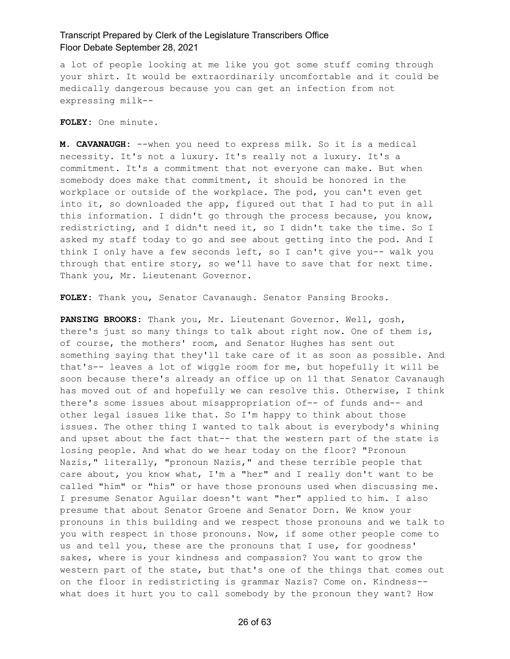a lot of people looking at me like you got some stuff coming through your shirt. It would be extraordinarily uncomfortable and it could be medically dangerous because you can get an infection from not expressing milk--

**FOLEY:** One minute.

**M. CAVANAUGH:** --when you need to express milk. So it is a medical necessity. It's not a luxury. It's really not a luxury. It's a commitment. It's a commitment that not everyone can make. But when somebody does make that commitment, it should be honored in the workplace or outside of the workplace. The pod, you can't even get into it, so downloaded the app, figured out that I had to put in all this information. I didn't go through the process because, you know, redistricting, and I didn't need it, so I didn't take the time. So I asked my staff today to go and see about getting into the pod. And I think I only have a few seconds left, so I can't give you-- walk you through that entire story, so we'll have to save that for next time. Thank you, Mr. Lieutenant Governor.

**FOLEY:** Thank you, Senator Cavanaugh. Senator Pansing Brooks.

**PANSING BROOKS:** Thank you, Mr. Lieutenant Governor. Well, gosh, there's just so many things to talk about right now. One of them is, of course, the mothers' room, and Senator Hughes has sent out something saying that they'll take care of it as soon as possible. And that's-- leaves a lot of wiggle room for me, but hopefully it will be soon because there's already an office up on 11 that Senator Cavanaugh has moved out of and hopefully we can resolve this. Otherwise, I think there's some issues about misappropriation of-- of funds and-- and other legal issues like that. So I'm happy to think about those issues. The other thing I wanted to talk about is everybody's whining and upset about the fact that-- that the western part of the state is losing people. And what do we hear today on the floor? "Pronoun Nazis," literally, "pronoun Nazis," and these terrible people that care about, you know what, I'm a "her" and I really don't want to be called "him" or "his" or have those pronouns used when discussing me. I presume Senator Aguilar doesn't want "her" applied to him. I also presume that about Senator Groene and Senator Dorn. We know your pronouns in this building and we respect those pronouns and we talk to you with respect in those pronouns. Now, if some other people come to us and tell you, these are the pronouns that I use, for goodness' sakes, where is your kindness and compassion? You want to grow the western part of the state, but that's one of the things that comes out on the floor in redistricting is grammar Nazis? Come on. Kindness- what does it hurt you to call somebody by the pronoun they want? How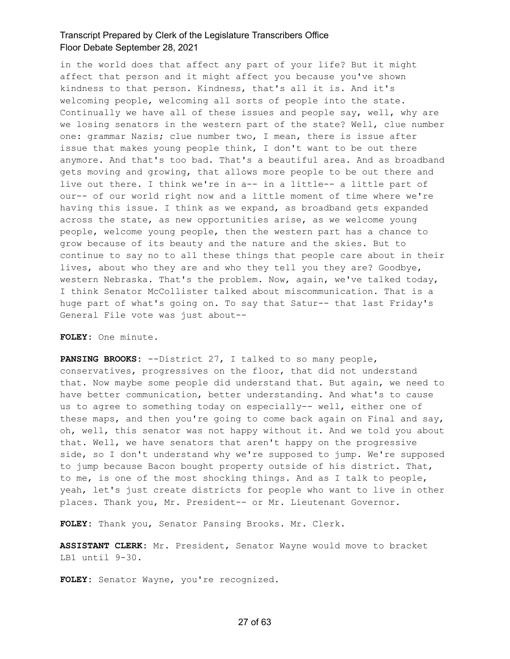in the world does that affect any part of your life? But it might affect that person and it might affect you because you've shown kindness to that person. Kindness, that's all it is. And it's welcoming people, welcoming all sorts of people into the state. Continually we have all of these issues and people say, well, why are we losing senators in the western part of the state? Well, clue number one: grammar Nazis; clue number two, I mean, there is issue after issue that makes young people think, I don't want to be out there anymore. And that's too bad. That's a beautiful area. And as broadband gets moving and growing, that allows more people to be out there and live out there. I think we're in a-- in a little-- a little part of our-- of our world right now and a little moment of time where we're having this issue. I think as we expand, as broadband gets expanded across the state, as new opportunities arise, as we welcome young people, welcome young people, then the western part has a chance to grow because of its beauty and the nature and the skies. But to continue to say no to all these things that people care about in their lives, about who they are and who they tell you they are? Goodbye, western Nebraska. That's the problem. Now, again, we've talked today, I think Senator McCollister talked about miscommunication. That is a huge part of what's going on. To say that Satur-- that last Friday's General File vote was just about--

#### **FOLEY:** One minute.

**PANSING BROOKS:** --District 27, I talked to so many people, conservatives, progressives on the floor, that did not understand that. Now maybe some people did understand that. But again, we need to have better communication, better understanding. And what's to cause us to agree to something today on especially-- well, either one of these maps, and then you're going to come back again on Final and say, oh, well, this senator was not happy without it. And we told you about that. Well, we have senators that aren't happy on the progressive side, so I don't understand why we're supposed to jump. We're supposed to jump because Bacon bought property outside of his district. That, to me, is one of the most shocking things. And as I talk to people, yeah, let's just create districts for people who want to live in other places. Thank you, Mr. President-- or Mr. Lieutenant Governor.

**FOLEY:** Thank you, Senator Pansing Brooks. Mr. Clerk.

**ASSISTANT CLERK:** Mr. President, Senator Wayne would move to bracket LB1 until 9-30.

**FOLEY:** Senator Wayne, you're recognized.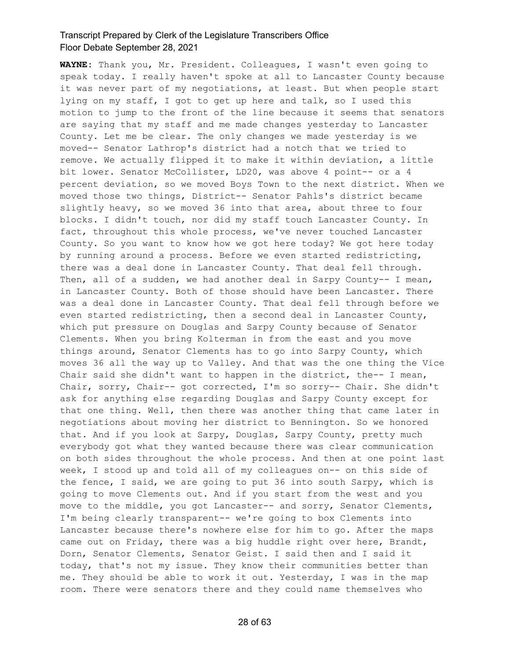**WAYNE:** Thank you, Mr. President. Colleagues, I wasn't even going to speak today. I really haven't spoke at all to Lancaster County because it was never part of my negotiations, at least. But when people start lying on my staff, I got to get up here and talk, so I used this motion to jump to the front of the line because it seems that senators are saying that my staff and me made changes yesterday to Lancaster County. Let me be clear. The only changes we made yesterday is we moved-- Senator Lathrop's district had a notch that we tried to remove. We actually flipped it to make it within deviation, a little bit lower. Senator McCollister, LD20, was above 4 point-- or a 4 percent deviation, so we moved Boys Town to the next district. When we moved those two things, District-- Senator Pahls's district became slightly heavy, so we moved 36 into that area, about three to four blocks. I didn't touch, nor did my staff touch Lancaster County. In fact, throughout this whole process, we've never touched Lancaster County. So you want to know how we got here today? We got here today by running around a process. Before we even started redistricting, there was a deal done in Lancaster County. That deal fell through. Then, all of a sudden, we had another deal in Sarpy County-- I mean, in Lancaster County. Both of those should have been Lancaster. There was a deal done in Lancaster County. That deal fell through before we even started redistricting, then a second deal in Lancaster County, which put pressure on Douglas and Sarpy County because of Senator Clements. When you bring Kolterman in from the east and you move things around, Senator Clements has to go into Sarpy County, which moves 36 all the way up to Valley. And that was the one thing the Vice Chair said she didn't want to happen in the district, the-- I mean, Chair, sorry, Chair-- got corrected, I'm so sorry-- Chair. She didn't ask for anything else regarding Douglas and Sarpy County except for that one thing. Well, then there was another thing that came later in negotiations about moving her district to Bennington. So we honored that. And if you look at Sarpy, Douglas, Sarpy County, pretty much everybody got what they wanted because there was clear communication on both sides throughout the whole process. And then at one point last week, I stood up and told all of my colleagues on-- on this side of the fence, I said, we are going to put 36 into south Sarpy, which is going to move Clements out. And if you start from the west and you move to the middle, you got Lancaster-- and sorry, Senator Clements, I'm being clearly transparent-- we're going to box Clements into Lancaster because there's nowhere else for him to go. After the maps came out on Friday, there was a big huddle right over here, Brandt, Dorn, Senator Clements, Senator Geist. I said then and I said it today, that's not my issue. They know their communities better than me. They should be able to work it out. Yesterday, I was in the map room. There were senators there and they could name themselves who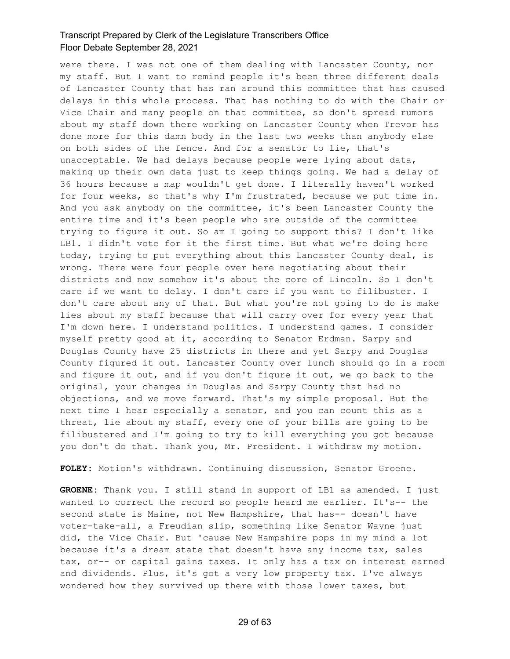were there. I was not one of them dealing with Lancaster County, nor my staff. But I want to remind people it's been three different deals of Lancaster County that has ran around this committee that has caused delays in this whole process. That has nothing to do with the Chair or Vice Chair and many people on that committee, so don't spread rumors about my staff down there working on Lancaster County when Trevor has done more for this damn body in the last two weeks than anybody else on both sides of the fence. And for a senator to lie, that's unacceptable. We had delays because people were lying about data, making up their own data just to keep things going. We had a delay of 36 hours because a map wouldn't get done. I literally haven't worked for four weeks, so that's why I'm frustrated, because we put time in. And you ask anybody on the committee, it's been Lancaster County the entire time and it's been people who are outside of the committee trying to figure it out. So am I going to support this? I don't like LB1. I didn't vote for it the first time. But what we're doing here today, trying to put everything about this Lancaster County deal, is wrong. There were four people over here negotiating about their districts and now somehow it's about the core of Lincoln. So I don't care if we want to delay. I don't care if you want to filibuster. I don't care about any of that. But what you're not going to do is make lies about my staff because that will carry over for every year that I'm down here. I understand politics. I understand games. I consider myself pretty good at it, according to Senator Erdman. Sarpy and Douglas County have 25 districts in there and yet Sarpy and Douglas County figured it out. Lancaster County over lunch should go in a room and figure it out, and if you don't figure it out, we go back to the original, your changes in Douglas and Sarpy County that had no objections, and we move forward. That's my simple proposal. But the next time I hear especially a senator, and you can count this as a threat, lie about my staff, every one of your bills are going to be filibustered and I'm going to try to kill everything you got because you don't do that. Thank you, Mr. President. I withdraw my motion.

**FOLEY:** Motion's withdrawn. Continuing discussion, Senator Groene.

**GROENE:** Thank you. I still stand in support of LB1 as amended. I just wanted to correct the record so people heard me earlier. It's-- the second state is Maine, not New Hampshire, that has-- doesn't have voter-take-all, a Freudian slip, something like Senator Wayne just did, the Vice Chair. But 'cause New Hampshire pops in my mind a lot because it's a dream state that doesn't have any income tax, sales tax, or-- or capital gains taxes. It only has a tax on interest earned and dividends. Plus, it's got a very low property tax. I've always wondered how they survived up there with those lower taxes, but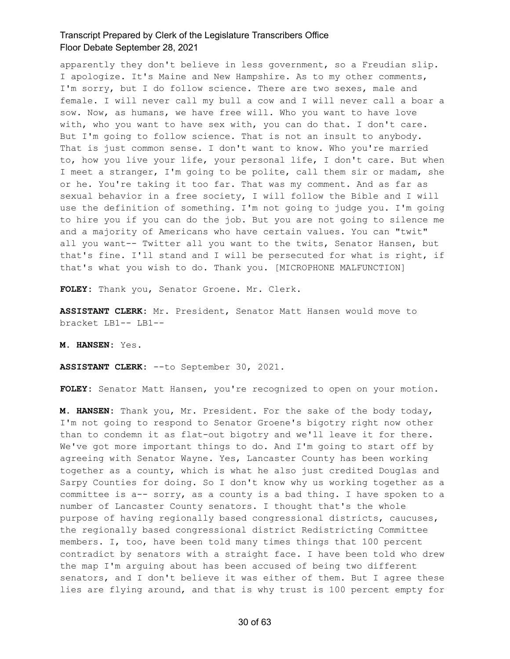apparently they don't believe in less government, so a Freudian slip. I apologize. It's Maine and New Hampshire. As to my other comments, I'm sorry, but I do follow science. There are two sexes, male and female. I will never call my bull a cow and I will never call a boar a sow. Now, as humans, we have free will. Who you want to have love with, who you want to have sex with, you can do that. I don't care. But I'm going to follow science. That is not an insult to anybody. That is just common sense. I don't want to know. Who you're married to, how you live your life, your personal life, I don't care. But when I meet a stranger, I'm going to be polite, call them sir or madam, she or he. You're taking it too far. That was my comment. And as far as sexual behavior in a free society, I will follow the Bible and I will use the definition of something. I'm not going to judge you. I'm going to hire you if you can do the job. But you are not going to silence me and a majority of Americans who have certain values. You can "twit" all you want-- Twitter all you want to the twits, Senator Hansen, but that's fine. I'll stand and I will be persecuted for what is right, if that's what you wish to do. Thank you. [MICROPHONE MALFUNCTION]

**FOLEY:** Thank you, Senator Groene. Mr. Clerk.

**ASSISTANT CLERK:** Mr. President, Senator Matt Hansen would move to bracket LB1-- LB1--

**M. HANSEN:** Yes.

**ASSISTANT CLERK:** --to September 30, 2021.

**FOLEY:** Senator Matt Hansen, you're recognized to open on your motion.

**M. HANSEN:** Thank you, Mr. President. For the sake of the body today, I'm not going to respond to Senator Groene's bigotry right now other than to condemn it as flat-out bigotry and we'll leave it for there. We've got more important things to do. And I'm going to start off by agreeing with Senator Wayne. Yes, Lancaster County has been working together as a county, which is what he also just credited Douglas and Sarpy Counties for doing. So I don't know why us working together as a committee is a-- sorry, as a county is a bad thing. I have spoken to a number of Lancaster County senators. I thought that's the whole purpose of having regionally based congressional districts, caucuses, the regionally based congressional district Redistricting Committee members. I, too, have been told many times things that 100 percent contradict by senators with a straight face. I have been told who drew the map I'm arguing about has been accused of being two different senators, and I don't believe it was either of them. But I agree these lies are flying around, and that is why trust is 100 percent empty for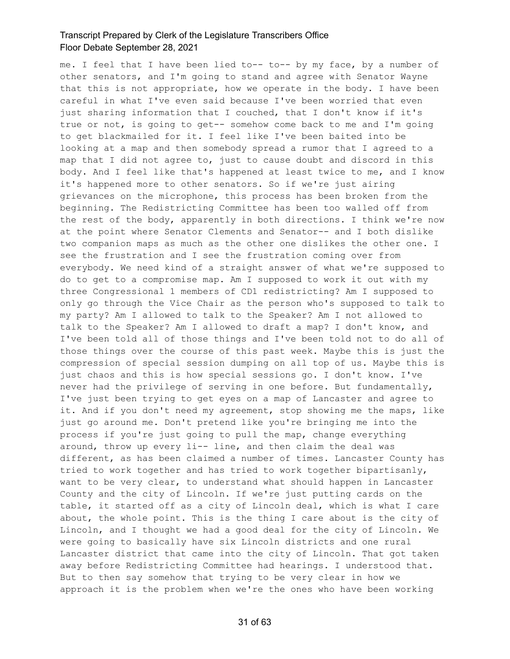me. I feel that I have been lied to-- to-- by my face, by a number of other senators, and I'm going to stand and agree with Senator Wayne that this is not appropriate, how we operate in the body. I have been careful in what I've even said because I've been worried that even just sharing information that I couched, that I don't know if it's true or not, is going to get-- somehow come back to me and I'm going to get blackmailed for it. I feel like I've been baited into be looking at a map and then somebody spread a rumor that I agreed to a map that I did not agree to, just to cause doubt and discord in this body. And I feel like that's happened at least twice to me, and I know it's happened more to other senators. So if we're just airing grievances on the microphone, this process has been broken from the beginning. The Redistricting Committee has been too walled off from the rest of the body, apparently in both directions. I think we're now at the point where Senator Clements and Senator-- and I both dislike two companion maps as much as the other one dislikes the other one. I see the frustration and I see the frustration coming over from everybody. We need kind of a straight answer of what we're supposed to do to get to a compromise map. Am I supposed to work it out with my three Congressional 1 members of CD1 redistricting? Am I supposed to only go through the Vice Chair as the person who's supposed to talk to my party? Am I allowed to talk to the Speaker? Am I not allowed to talk to the Speaker? Am I allowed to draft a map? I don't know, and I've been told all of those things and I've been told not to do all of those things over the course of this past week. Maybe this is just the compression of special session dumping on all top of us. Maybe this is just chaos and this is how special sessions go. I don't know. I've never had the privilege of serving in one before. But fundamentally, I've just been trying to get eyes on a map of Lancaster and agree to it. And if you don't need my agreement, stop showing me the maps, like just go around me. Don't pretend like you're bringing me into the process if you're just going to pull the map, change everything around, throw up every li-- line, and then claim the deal was different, as has been claimed a number of times. Lancaster County has tried to work together and has tried to work together bipartisanly, want to be very clear, to understand what should happen in Lancaster County and the city of Lincoln. If we're just putting cards on the table, it started off as a city of Lincoln deal, which is what I care about, the whole point. This is the thing I care about is the city of Lincoln, and I thought we had a good deal for the city of Lincoln. We were going to basically have six Lincoln districts and one rural Lancaster district that came into the city of Lincoln. That got taken away before Redistricting Committee had hearings. I understood that. But to then say somehow that trying to be very clear in how we approach it is the problem when we're the ones who have been working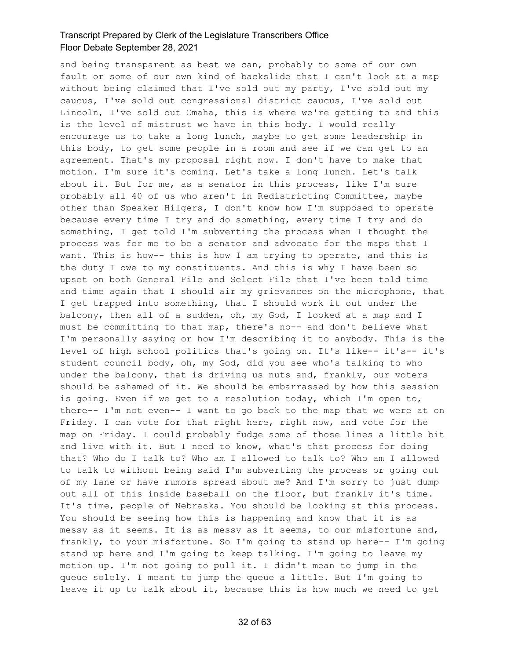and being transparent as best we can, probably to some of our own fault or some of our own kind of backslide that I can't look at a map without being claimed that I've sold out my party, I've sold out my caucus, I've sold out congressional district caucus, I've sold out Lincoln, I've sold out Omaha, this is where we're getting to and this is the level of mistrust we have in this body. I would really encourage us to take a long lunch, maybe to get some leadership in this body, to get some people in a room and see if we can get to an agreement. That's my proposal right now. I don't have to make that motion. I'm sure it's coming. Let's take a long lunch. Let's talk about it. But for me, as a senator in this process, like I'm sure probably all 40 of us who aren't in Redistricting Committee, maybe other than Speaker Hilgers, I don't know how I'm supposed to operate because every time I try and do something, every time I try and do something, I get told I'm subverting the process when I thought the process was for me to be a senator and advocate for the maps that I want. This is how-- this is how I am trying to operate, and this is the duty I owe to my constituents. And this is why I have been so upset on both General File and Select File that I've been told time and time again that I should air my grievances on the microphone, that I get trapped into something, that I should work it out under the balcony, then all of a sudden, oh, my God, I looked at a map and I must be committing to that map, there's no-- and don't believe what I'm personally saying or how I'm describing it to anybody. This is the level of high school politics that's going on. It's like-- it's-- it's student council body, oh, my God, did you see who's talking to who under the balcony, that is driving us nuts and, frankly, our voters should be ashamed of it. We should be embarrassed by how this session is going. Even if we get to a resolution today, which I'm open to, there-- I'm not even-- I want to go back to the map that we were at on Friday. I can vote for that right here, right now, and vote for the map on Friday. I could probably fudge some of those lines a little bit and live with it. But I need to know, what's that process for doing that? Who do I talk to? Who am I allowed to talk to? Who am I allowed to talk to without being said I'm subverting the process or going out of my lane or have rumors spread about me? And I'm sorry to just dump out all of this inside baseball on the floor, but frankly it's time. It's time, people of Nebraska. You should be looking at this process. You should be seeing how this is happening and know that it is as messy as it seems. It is as messy as it seems, to our misfortune and, frankly, to your misfortune. So I'm going to stand up here-- I'm going stand up here and I'm going to keep talking. I'm going to leave my motion up. I'm not going to pull it. I didn't mean to jump in the queue solely. I meant to jump the queue a little. But I'm going to leave it up to talk about it, because this is how much we need to get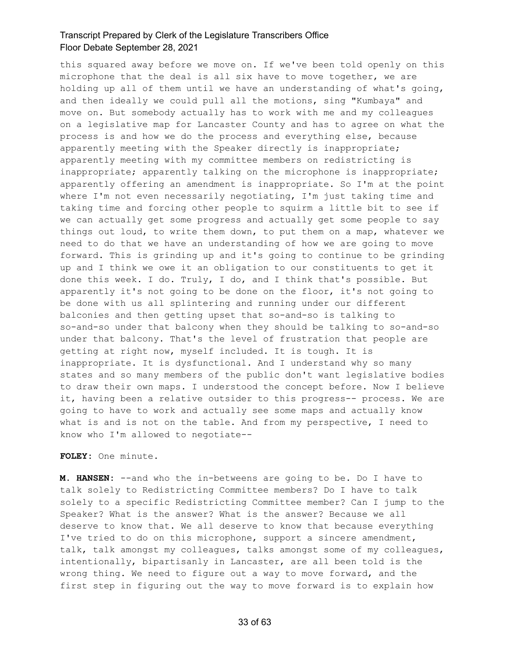this squared away before we move on. If we've been told openly on this microphone that the deal is all six have to move together, we are holding up all of them until we have an understanding of what's going, and then ideally we could pull all the motions, sing "Kumbaya" and move on. But somebody actually has to work with me and my colleagues on a legislative map for Lancaster County and has to agree on what the process is and how we do the process and everything else, because apparently meeting with the Speaker directly is inappropriate; apparently meeting with my committee members on redistricting is inappropriate; apparently talking on the microphone is inappropriate; apparently offering an amendment is inappropriate. So I'm at the point where I'm not even necessarily negotiating, I'm just taking time and taking time and forcing other people to squirm a little bit to see if we can actually get some progress and actually get some people to say things out loud, to write them down, to put them on a map, whatever we need to do that we have an understanding of how we are going to move forward. This is grinding up and it's going to continue to be grinding up and I think we owe it an obligation to our constituents to get it done this week. I do. Truly, I do, and I think that's possible. But apparently it's not going to be done on the floor, it's not going to be done with us all splintering and running under our different balconies and then getting upset that so-and-so is talking to so-and-so under that balcony when they should be talking to so-and-so under that balcony. That's the level of frustration that people are getting at right now, myself included. It is tough. It is inappropriate. It is dysfunctional. And I understand why so many states and so many members of the public don't want legislative bodies to draw their own maps. I understood the concept before. Now I believe it, having been a relative outsider to this progress-- process. We are going to have to work and actually see some maps and actually know what is and is not on the table. And from my perspective, I need to know who I'm allowed to negotiate--

**FOLEY:** One minute.

**M. HANSEN:** --and who the in-betweens are going to be. Do I have to talk solely to Redistricting Committee members? Do I have to talk solely to a specific Redistricting Committee member? Can I jump to the Speaker? What is the answer? What is the answer? Because we all deserve to know that. We all deserve to know that because everything I've tried to do on this microphone, support a sincere amendment, talk, talk amongst my colleagues, talks amongst some of my colleagues, intentionally, bipartisanly in Lancaster, are all been told is the wrong thing. We need to figure out a way to move forward, and the first step in figuring out the way to move forward is to explain how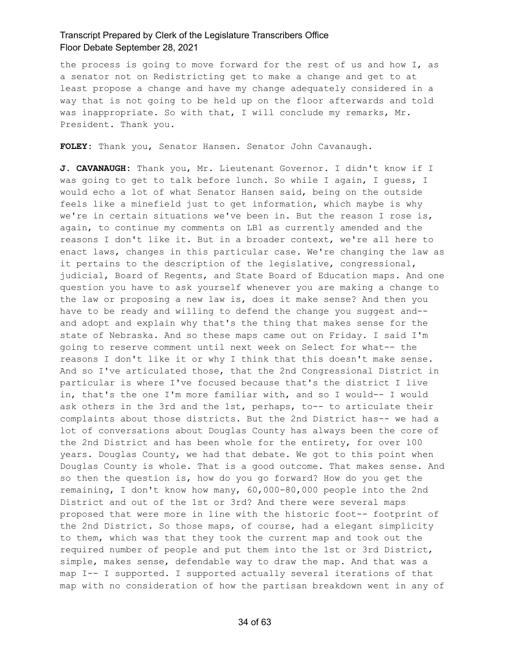the process is going to move forward for the rest of us and how I, as a senator not on Redistricting get to make a change and get to at least propose a change and have my change adequately considered in a way that is not going to be held up on the floor afterwards and told was inappropriate. So with that, I will conclude my remarks, Mr. President. Thank you.

**FOLEY:** Thank you, Senator Hansen. Senator John Cavanaugh.

**J. CAVANAUGH:** Thank you, Mr. Lieutenant Governor. I didn't know if I was going to get to talk before lunch. So while I again, I guess, I would echo a lot of what Senator Hansen said, being on the outside feels like a minefield just to get information, which maybe is why we're in certain situations we've been in. But the reason I rose is, again, to continue my comments on LB1 as currently amended and the reasons I don't like it. But in a broader context, we're all here to enact laws, changes in this particular case. We're changing the law as it pertains to the description of the legislative, congressional, judicial, Board of Regents, and State Board of Education maps. And one question you have to ask yourself whenever you are making a change to the law or proposing a new law is, does it make sense? And then you have to be ready and willing to defend the change you suggest and- and adopt and explain why that's the thing that makes sense for the state of Nebraska. And so these maps came out on Friday. I said I'm going to reserve comment until next week on Select for what-- the reasons I don't like it or why I think that this doesn't make sense. And so I've articulated those, that the 2nd Congressional District in particular is where I've focused because that's the district I live in, that's the one I'm more familiar with, and so I would-- I would ask others in the 3rd and the 1st, perhaps, to-- to articulate their complaints about those districts. But the 2nd District has-- we had a lot of conversations about Douglas County has always been the core of the 2nd District and has been whole for the entirety, for over 100 years. Douglas County, we had that debate. We got to this point when Douglas County is whole. That is a good outcome. That makes sense. And so then the question is, how do you go forward? How do you get the remaining, I don't know how many, 60,000-80,000 people into the 2nd District and out of the 1st or 3rd? And there were several maps proposed that were more in line with the historic foot-- footprint of the 2nd District. So those maps, of course, had a elegant simplicity to them, which was that they took the current map and took out the required number of people and put them into the 1st or 3rd District, simple, makes sense, defendable way to draw the map. And that was a map I-- I supported. I supported actually several iterations of that map with no consideration of how the partisan breakdown went in any of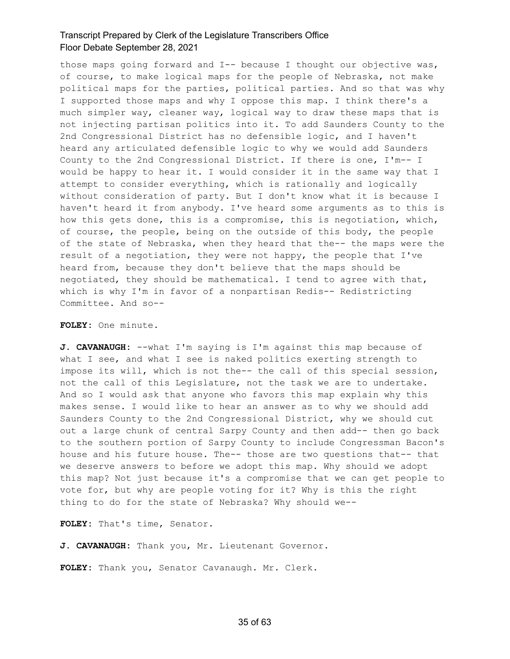those maps going forward and I-- because I thought our objective was, of course, to make logical maps for the people of Nebraska, not make political maps for the parties, political parties. And so that was why I supported those maps and why I oppose this map. I think there's a much simpler way, cleaner way, logical way to draw these maps that is not injecting partisan politics into it. To add Saunders County to the 2nd Congressional District has no defensible logic, and I haven't heard any articulated defensible logic to why we would add Saunders County to the 2nd Congressional District. If there is one, I'm-- I would be happy to hear it. I would consider it in the same way that I attempt to consider everything, which is rationally and logically without consideration of party. But I don't know what it is because I haven't heard it from anybody. I've heard some arguments as to this is how this gets done, this is a compromise, this is negotiation, which, of course, the people, being on the outside of this body, the people of the state of Nebraska, when they heard that the-- the maps were the result of a negotiation, they were not happy, the people that I've heard from, because they don't believe that the maps should be negotiated, they should be mathematical. I tend to agree with that, which is why I'm in favor of a nonpartisan Redis-- Redistricting Committee. And so--

#### **FOLEY:** One minute.

**J. CAVANAUGH:** --what I'm saying is I'm against this map because of what I see, and what I see is naked politics exerting strength to impose its will, which is not the-- the call of this special session, not the call of this Legislature, not the task we are to undertake. And so I would ask that anyone who favors this map explain why this makes sense. I would like to hear an answer as to why we should add Saunders County to the 2nd Congressional District, why we should cut out a large chunk of central Sarpy County and then add-- then go back to the southern portion of Sarpy County to include Congressman Bacon's house and his future house. The-- those are two questions that-- that we deserve answers to before we adopt this map. Why should we adopt this map? Not just because it's a compromise that we can get people to vote for, but why are people voting for it? Why is this the right thing to do for the state of Nebraska? Why should we--

**FOLEY:** That's time, Senator.

**J. CAVANAUGH:** Thank you, Mr. Lieutenant Governor.

**FOLEY:** Thank you, Senator Cavanaugh. Mr. Clerk.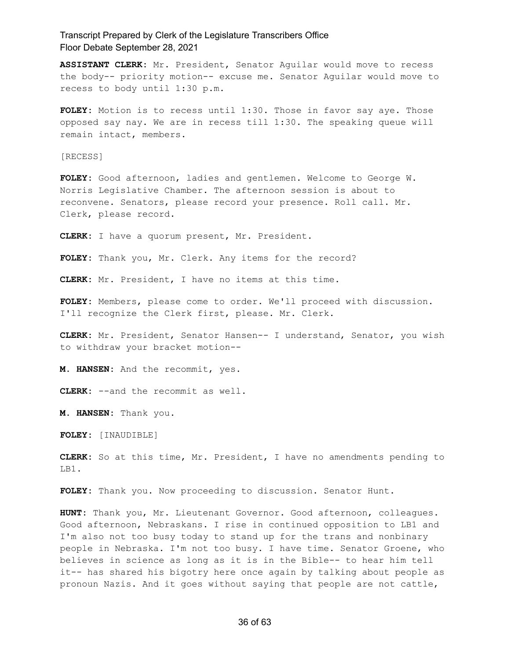**ASSISTANT CLERK:** Mr. President, Senator Aguilar would move to recess the body-- priority motion-- excuse me. Senator Aguilar would move to recess to body until 1:30 p.m.

**FOLEY:** Motion is to recess until 1:30. Those in favor say aye. Those opposed say nay. We are in recess till 1:30. The speaking queue will remain intact, members.

[RECESS]

**FOLEY:** Good afternoon, ladies and gentlemen. Welcome to George W. Norris Legislative Chamber. The afternoon session is about to reconvene. Senators, please record your presence. Roll call. Mr. Clerk, please record.

**CLERK:** I have a quorum present, Mr. President.

**FOLEY:** Thank you, Mr. Clerk. Any items for the record?

**CLERK:** Mr. President, I have no items at this time.

**FOLEY:** Members, please come to order. We'll proceed with discussion. I'll recognize the Clerk first, please. Mr. Clerk.

**CLERK:** Mr. President, Senator Hansen-- I understand, Senator, you wish to withdraw your bracket motion--

**M. HANSEN:** And the recommit, yes.

**CLERK:** --and the recommit as well.

**M. HANSEN:** Thank you.

**FOLEY:** [INAUDIBLE]

**CLERK:** So at this time, Mr. President, I have no amendments pending to LB1.

**FOLEY:** Thank you. Now proceeding to discussion. Senator Hunt.

**HUNT:** Thank you, Mr. Lieutenant Governor. Good afternoon, colleagues. Good afternoon, Nebraskans. I rise in continued opposition to LB1 and I'm also not too busy today to stand up for the trans and nonbinary people in Nebraska. I'm not too busy. I have time. Senator Groene, who believes in science as long as it is in the Bible-- to hear him tell it-- has shared his bigotry here once again by talking about people as pronoun Nazis. And it goes without saying that people are not cattle,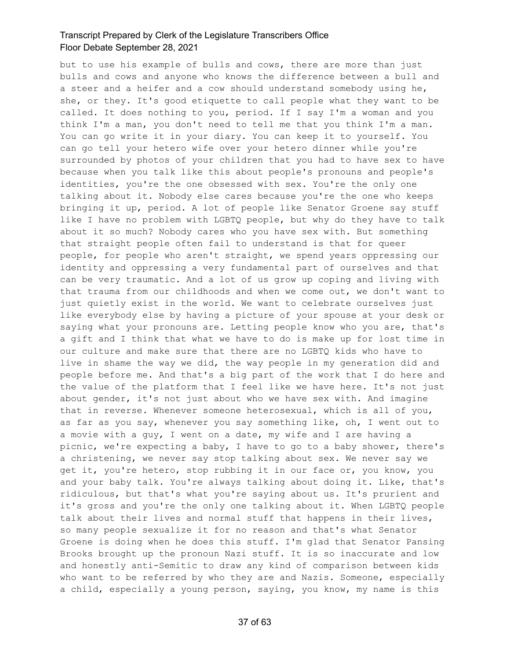but to use his example of bulls and cows, there are more than just bulls and cows and anyone who knows the difference between a bull and a steer and a heifer and a cow should understand somebody using he, she, or they. It's good etiquette to call people what they want to be called. It does nothing to you, period. If I say I'm a woman and you think I'm a man, you don't need to tell me that you think I'm a man. You can go write it in your diary. You can keep it to yourself. You can go tell your hetero wife over your hetero dinner while you're surrounded by photos of your children that you had to have sex to have because when you talk like this about people's pronouns and people's identities, you're the one obsessed with sex. You're the only one talking about it. Nobody else cares because you're the one who keeps bringing it up, period. A lot of people like Senator Groene say stuff like I have no problem with LGBTQ people, but why do they have to talk about it so much? Nobody cares who you have sex with. But something that straight people often fail to understand is that for queer people, for people who aren't straight, we spend years oppressing our identity and oppressing a very fundamental part of ourselves and that can be very traumatic. And a lot of us grow up coping and living with that trauma from our childhoods and when we come out, we don't want to just quietly exist in the world. We want to celebrate ourselves just like everybody else by having a picture of your spouse at your desk or saying what your pronouns are. Letting people know who you are, that's a gift and I think that what we have to do is make up for lost time in our culture and make sure that there are no LGBTQ kids who have to live in shame the way we did, the way people in my generation did and people before me. And that's a big part of the work that I do here and the value of the platform that I feel like we have here. It's not just about gender, it's not just about who we have sex with. And imagine that in reverse. Whenever someone heterosexual, which is all of you, as far as you say, whenever you say something like, oh, I went out to a movie with a guy, I went on a date, my wife and I are having a picnic, we're expecting a baby, I have to go to a baby shower, there's a christening, we never say stop talking about sex. We never say we get it, you're hetero, stop rubbing it in our face or, you know, you and your baby talk. You're always talking about doing it. Like, that's ridiculous, but that's what you're saying about us. It's prurient and it's gross and you're the only one talking about it. When LGBTQ people talk about their lives and normal stuff that happens in their lives, so many people sexualize it for no reason and that's what Senator Groene is doing when he does this stuff. I'm glad that Senator Pansing Brooks brought up the pronoun Nazi stuff. It is so inaccurate and low and honestly anti-Semitic to draw any kind of comparison between kids who want to be referred by who they are and Nazis. Someone, especially a child, especially a young person, saying, you know, my name is this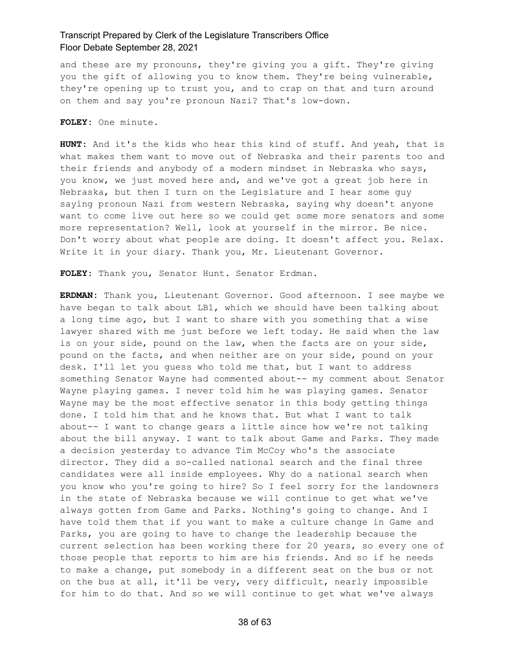and these are my pronouns, they're giving you a gift. They're giving you the gift of allowing you to know them. They're being vulnerable, they're opening up to trust you, and to crap on that and turn around on them and say you're pronoun Nazi? That's low-down.

**FOLEY:** One minute.

**HUNT:** And it's the kids who hear this kind of stuff. And yeah, that is what makes them want to move out of Nebraska and their parents too and their friends and anybody of a modern mindset in Nebraska who says, you know, we just moved here and, and we've got a great job here in Nebraska, but then I turn on the Legislature and I hear some guy saying pronoun Nazi from western Nebraska, saying why doesn't anyone want to come live out here so we could get some more senators and some more representation? Well, look at yourself in the mirror. Be nice. Don't worry about what people are doing. It doesn't affect you. Relax. Write it in your diary. Thank you, Mr. Lieutenant Governor.

**FOLEY:** Thank you, Senator Hunt. Senator Erdman.

**ERDMAN:** Thank you, Lieutenant Governor. Good afternoon. I see maybe we have began to talk about LB1, which we should have been talking about a long time ago, but I want to share with you something that a wise lawyer shared with me just before we left today. He said when the law is on your side, pound on the law, when the facts are on your side, pound on the facts, and when neither are on your side, pound on your desk. I'll let you guess who told me that, but I want to address something Senator Wayne had commented about-- my comment about Senator Wayne playing games. I never told him he was playing games. Senator Wayne may be the most effective senator in this body getting things done. I told him that and he knows that. But what I want to talk about-- I want to change gears a little since how we're not talking about the bill anyway. I want to talk about Game and Parks. They made a decision yesterday to advance Tim McCoy who's the associate director. They did a so-called national search and the final three candidates were all inside employees. Why do a national search when you know who you're going to hire? So I feel sorry for the landowners in the state of Nebraska because we will continue to get what we've always gotten from Game and Parks. Nothing's going to change. And I have told them that if you want to make a culture change in Game and Parks, you are going to have to change the leadership because the current selection has been working there for 20 years, so every one of those people that reports to him are his friends. And so if he needs to make a change, put somebody in a different seat on the bus or not on the bus at all, it'll be very, very difficult, nearly impossible for him to do that. And so we will continue to get what we've always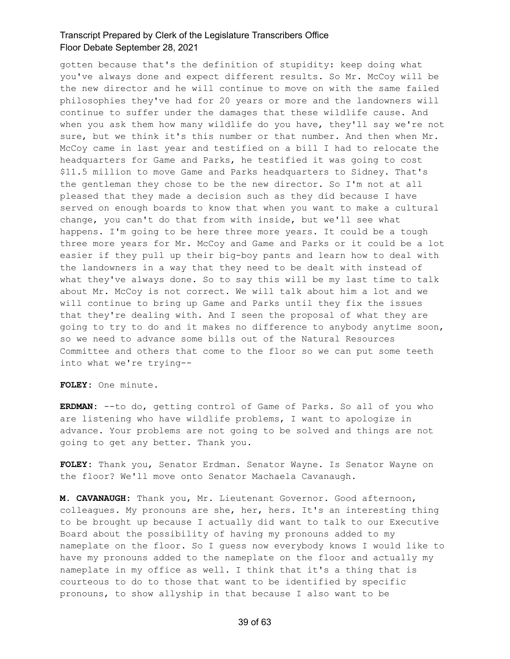gotten because that's the definition of stupidity: keep doing what you've always done and expect different results. So Mr. McCoy will be the new director and he will continue to move on with the same failed philosophies they've had for 20 years or more and the landowners will continue to suffer under the damages that these wildlife cause. And when you ask them how many wildlife do you have, they'll say we're not sure, but we think it's this number or that number. And then when Mr. McCoy came in last year and testified on a bill I had to relocate the headquarters for Game and Parks, he testified it was going to cost \$11.5 million to move Game and Parks headquarters to Sidney. That's the gentleman they chose to be the new director. So I'm not at all pleased that they made a decision such as they did because I have served on enough boards to know that when you want to make a cultural change, you can't do that from with inside, but we'll see what happens. I'm going to be here three more years. It could be a tough three more years for Mr. McCoy and Game and Parks or it could be a lot easier if they pull up their big-boy pants and learn how to deal with the landowners in a way that they need to be dealt with instead of what they've always done. So to say this will be my last time to talk about Mr. McCoy is not correct. We will talk about him a lot and we will continue to bring up Game and Parks until they fix the issues that they're dealing with. And I seen the proposal of what they are going to try to do and it makes no difference to anybody anytime soon, so we need to advance some bills out of the Natural Resources Committee and others that come to the floor so we can put some teeth into what we're trying--

**FOLEY:** One minute.

**ERDMAN:** --to do, getting control of Game of Parks. So all of you who are listening who have wildlife problems, I want to apologize in advance. Your problems are not going to be solved and things are not going to get any better. Thank you.

**FOLEY:** Thank you, Senator Erdman. Senator Wayne. Is Senator Wayne on the floor? We'll move onto Senator Machaela Cavanaugh.

**M. CAVANAUGH:** Thank you, Mr. Lieutenant Governor. Good afternoon, colleagues. My pronouns are she, her, hers. It's an interesting thing to be brought up because I actually did want to talk to our Executive Board about the possibility of having my pronouns added to my nameplate on the floor. So I guess now everybody knows I would like to have my pronouns added to the nameplate on the floor and actually my nameplate in my office as well. I think that it's a thing that is courteous to do to those that want to be identified by specific pronouns, to show allyship in that because I also want to be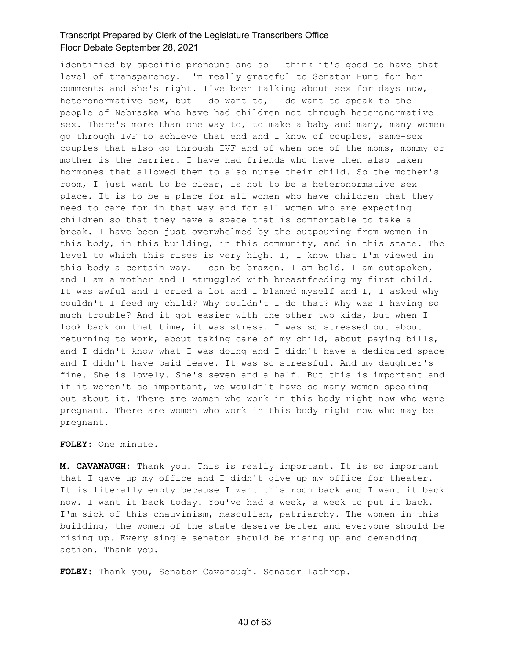identified by specific pronouns and so I think it's good to have that level of transparency. I'm really grateful to Senator Hunt for her comments and she's right. I've been talking about sex for days now, heteronormative sex, but I do want to, I do want to speak to the people of Nebraska who have had children not through heteronormative sex. There's more than one way to, to make a baby and many, many women go through IVF to achieve that end and I know of couples, same-sex couples that also go through IVF and of when one of the moms, mommy or mother is the carrier. I have had friends who have then also taken hormones that allowed them to also nurse their child. So the mother's room, I just want to be clear, is not to be a heteronormative sex place. It is to be a place for all women who have children that they need to care for in that way and for all women who are expecting children so that they have a space that is comfortable to take a break. I have been just overwhelmed by the outpouring from women in this body, in this building, in this community, and in this state. The level to which this rises is very high. I, I know that I'm viewed in this body a certain way. I can be brazen. I am bold. I am outspoken, and I am a mother and I struggled with breastfeeding my first child. It was awful and I cried a lot and I blamed myself and I, I asked why couldn't I feed my child? Why couldn't I do that? Why was I having so much trouble? And it got easier with the other two kids, but when I look back on that time, it was stress. I was so stressed out about returning to work, about taking care of my child, about paying bills, and I didn't know what I was doing and I didn't have a dedicated space and I didn't have paid leave. It was so stressful. And my daughter's fine. She is lovely. She's seven and a half. But this is important and if it weren't so important, we wouldn't have so many women speaking out about it. There are women who work in this body right now who were pregnant. There are women who work in this body right now who may be pregnant.

### **FOLEY:** One minute.

**M. CAVANAUGH:** Thank you. This is really important. It is so important that I gave up my office and I didn't give up my office for theater. It is literally empty because I want this room back and I want it back now. I want it back today. You've had a week, a week to put it back. I'm sick of this chauvinism, masculism, patriarchy. The women in this building, the women of the state deserve better and everyone should be rising up. Every single senator should be rising up and demanding action. Thank you.

**FOLEY:** Thank you, Senator Cavanaugh. Senator Lathrop.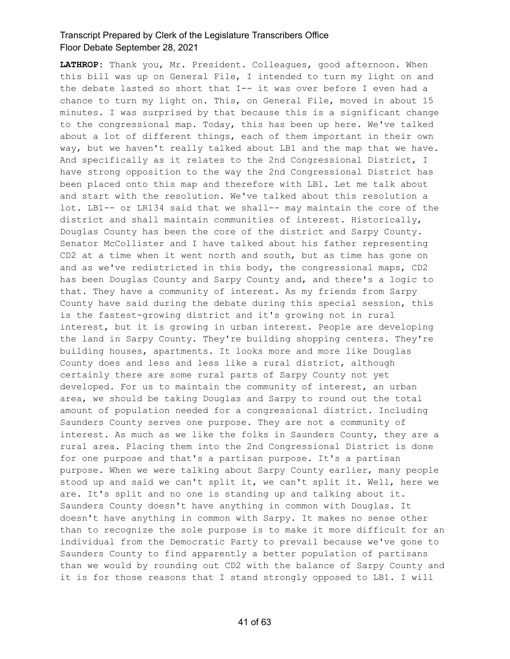**LATHROP:** Thank you, Mr. President. Colleagues, good afternoon. When this bill was up on General File, I intended to turn my light on and the debate lasted so short that I-- it was over before I even had a chance to turn my light on. This, on General File, moved in about 15 minutes. I was surprised by that because this is a significant change to the congressional map. Today, this has been up here. We've talked about a lot of different things, each of them important in their own way, but we haven't really talked about LB1 and the map that we have. And specifically as it relates to the 2nd Congressional District, I have strong opposition to the way the 2nd Congressional District has been placed onto this map and therefore with LB1. Let me talk about and start with the resolution. We've talked about this resolution a lot. LB1-- or LR134 said that we shall-- may maintain the core of the district and shall maintain communities of interest. Historically, Douglas County has been the core of the district and Sarpy County. Senator McCollister and I have talked about his father representing CD2 at a time when it went north and south, but as time has gone on and as we've redistricted in this body, the congressional maps, CD2 has been Douglas County and Sarpy County and, and there's a logic to that. They have a community of interest. As my friends from Sarpy County have said during the debate during this special session, this is the fastest-growing district and it's growing not in rural interest, but it is growing in urban interest. People are developing the land in Sarpy County. They're building shopping centers. They're building houses, apartments. It looks more and more like Douglas County does and less and less like a rural district, although certainly there are some rural parts of Sarpy County not yet developed. For us to maintain the community of interest, an urban area, we should be taking Douglas and Sarpy to round out the total amount of population needed for a congressional district. Including Saunders County serves one purpose. They are not a community of interest. As much as we like the folks in Saunders County, they are a rural area. Placing them into the 2nd Congressional District is done for one purpose and that's a partisan purpose. It's a partisan purpose. When we were talking about Sarpy County earlier, many people stood up and said we can't split it, we can't split it. Well, here we are. It's split and no one is standing up and talking about it. Saunders County doesn't have anything in common with Douglas. It doesn't have anything in common with Sarpy. It makes no sense other than to recognize the sole purpose is to make it more difficult for an individual from the Democratic Party to prevail because we've gone to Saunders County to find apparently a better population of partisans than we would by rounding out CD2 with the balance of Sarpy County and it is for those reasons that I stand strongly opposed to LB1. I will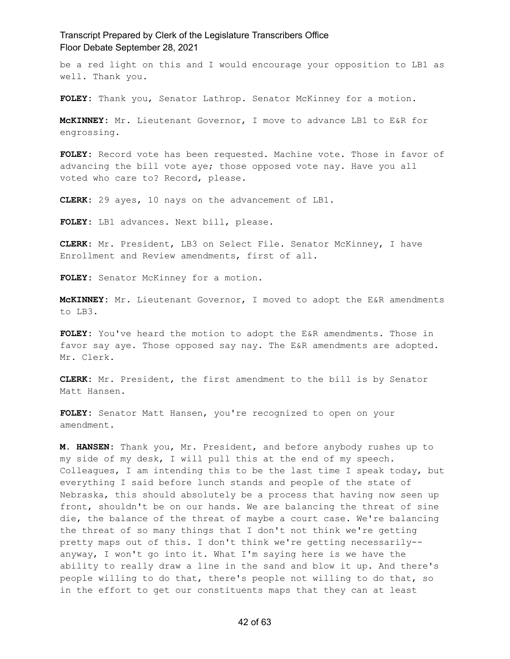be a red light on this and I would encourage your opposition to LB1 as well. Thank you.

**FOLEY:** Thank you, Senator Lathrop. Senator McKinney for a motion.

**McKINNEY:** Mr. Lieutenant Governor, I move to advance LB1 to E&R for engrossing.

**FOLEY:** Record vote has been requested. Machine vote. Those in favor of advancing the bill vote aye; those opposed vote nay. Have you all voted who care to? Record, please.

**CLERK:** 29 ayes, 10 nays on the advancement of LB1.

**FOLEY:** LB1 advances. Next bill, please.

**CLERK:** Mr. President, LB3 on Select File. Senator McKinney, I have Enrollment and Review amendments, first of all.

**FOLEY:** Senator McKinney for a motion.

**McKINNEY:** Mr. Lieutenant Governor, I moved to adopt the E&R amendments to LB3.

**FOLEY:** You've heard the motion to adopt the E&R amendments. Those in favor say aye. Those opposed say nay. The E&R amendments are adopted. Mr. Clerk.

**CLERK:** Mr. President, the first amendment to the bill is by Senator Matt Hansen.

**FOLEY:** Senator Matt Hansen, you're recognized to open on your amendment.

**M. HANSEN:** Thank you, Mr. President, and before anybody rushes up to my side of my desk, I will pull this at the end of my speech. Colleagues, I am intending this to be the last time I speak today, but everything I said before lunch stands and people of the state of Nebraska, this should absolutely be a process that having now seen up front, shouldn't be on our hands. We are balancing the threat of sine die, the balance of the threat of maybe a court case. We're balancing the threat of so many things that I don't not think we're getting pretty maps out of this. I don't think we're getting necessarily- anyway, I won't go into it. What I'm saying here is we have the ability to really draw a line in the sand and blow it up. And there's people willing to do that, there's people not willing to do that, so in the effort to get our constituents maps that they can at least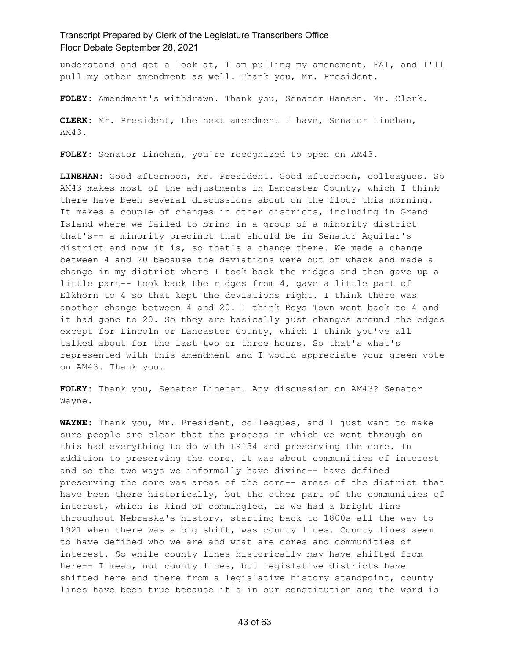understand and get a look at, I am pulling my amendment, FA1, and I'll pull my other amendment as well. Thank you, Mr. President.

**FOLEY:** Amendment's withdrawn. Thank you, Senator Hansen. Mr. Clerk.

**CLERK:** Mr. President, the next amendment I have, Senator Linehan, AM43.

**FOLEY:** Senator Linehan, you're recognized to open on AM43.

**LINEHAN:** Good afternoon, Mr. President. Good afternoon, colleagues. So AM43 makes most of the adjustments in Lancaster County, which I think there have been several discussions about on the floor this morning. It makes a couple of changes in other districts, including in Grand Island where we failed to bring in a group of a minority district that's-- a minority precinct that should be in Senator Aguilar's district and now it is, so that's a change there. We made a change between 4 and 20 because the deviations were out of whack and made a change in my district where I took back the ridges and then gave up a little part-- took back the ridges from 4, gave a little part of Elkhorn to 4 so that kept the deviations right. I think there was another change between 4 and 20. I think Boys Town went back to 4 and it had gone to 20. So they are basically just changes around the edges except for Lincoln or Lancaster County, which I think you've all talked about for the last two or three hours. So that's what's represented with this amendment and I would appreciate your green vote on AM43. Thank you.

**FOLEY:** Thank you, Senator Linehan. Any discussion on AM43? Senator Wayne.

**WAYNE:** Thank you, Mr. President, colleagues, and I just want to make sure people are clear that the process in which we went through on this had everything to do with LR134 and preserving the core. In addition to preserving the core, it was about communities of interest and so the two ways we informally have divine-- have defined preserving the core was areas of the core-- areas of the district that have been there historically, but the other part of the communities of interest, which is kind of commingled, is we had a bright line throughout Nebraska's history, starting back to 1800s all the way to 1921 when there was a big shift, was county lines. County lines seem to have defined who we are and what are cores and communities of interest. So while county lines historically may have shifted from here-- I mean, not county lines, but legislative districts have shifted here and there from a legislative history standpoint, county lines have been true because it's in our constitution and the word is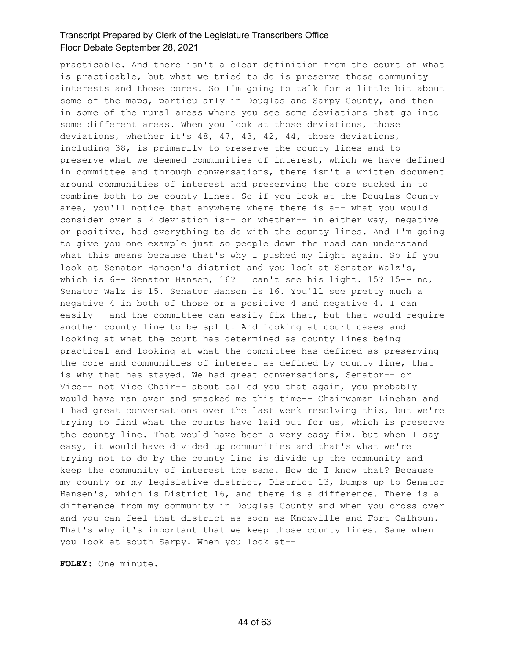practicable. And there isn't a clear definition from the court of what is practicable, but what we tried to do is preserve those community interests and those cores. So I'm going to talk for a little bit about some of the maps, particularly in Douglas and Sarpy County, and then in some of the rural areas where you see some deviations that go into some different areas. When you look at those deviations, those deviations, whether it's 48, 47, 43, 42, 44, those deviations, including 38, is primarily to preserve the county lines and to preserve what we deemed communities of interest, which we have defined in committee and through conversations, there isn't a written document around communities of interest and preserving the core sucked in to combine both to be county lines. So if you look at the Douglas County area, you'll notice that anywhere where there is a-- what you would consider over a 2 deviation is-- or whether-- in either way, negative or positive, had everything to do with the county lines. And I'm going to give you one example just so people down the road can understand what this means because that's why I pushed my light again. So if you look at Senator Hansen's district and you look at Senator Walz's, which is 6-- Senator Hansen, 16? I can't see his light. 15? 15-- no, Senator Walz is 15. Senator Hansen is 16. You'll see pretty much a negative 4 in both of those or a positive 4 and negative 4. I can easily-- and the committee can easily fix that, but that would require another county line to be split. And looking at court cases and looking at what the court has determined as county lines being practical and looking at what the committee has defined as preserving the core and communities of interest as defined by county line, that is why that has stayed. We had great conversations, Senator-- or Vice-- not Vice Chair-- about called you that again, you probably would have ran over and smacked me this time-- Chairwoman Linehan and I had great conversations over the last week resolving this, but we're trying to find what the courts have laid out for us, which is preserve the county line. That would have been a very easy fix, but when I say easy, it would have divided up communities and that's what we're trying not to do by the county line is divide up the community and keep the community of interest the same. How do I know that? Because my county or my legislative district, District 13, bumps up to Senator Hansen's, which is District 16, and there is a difference. There is a difference from my community in Douglas County and when you cross over and you can feel that district as soon as Knoxville and Fort Calhoun. That's why it's important that we keep those county lines. Same when you look at south Sarpy. When you look at--

**FOLEY:** One minute.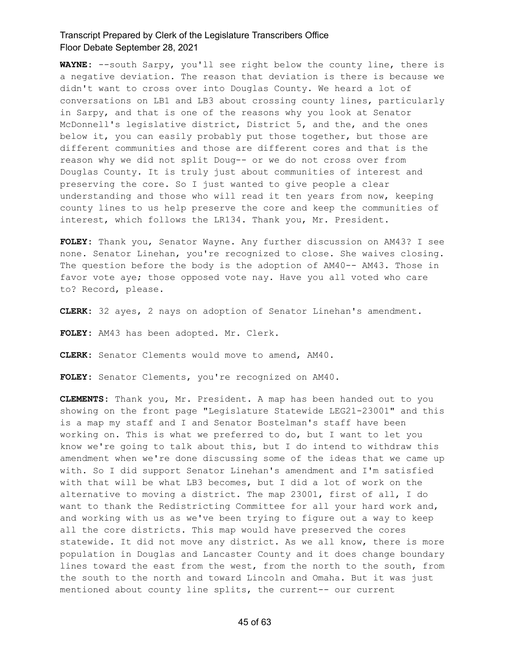**WAYNE:** --south Sarpy, you'll see right below the county line, there is a negative deviation. The reason that deviation is there is because we didn't want to cross over into Douglas County. We heard a lot of conversations on LB1 and LB3 about crossing county lines, particularly in Sarpy, and that is one of the reasons why you look at Senator McDonnell's legislative district, District 5, and the, and the ones below it, you can easily probably put those together, but those are different communities and those are different cores and that is the reason why we did not split Doug-- or we do not cross over from Douglas County. It is truly just about communities of interest and preserving the core. So I just wanted to give people a clear understanding and those who will read it ten years from now, keeping county lines to us help preserve the core and keep the communities of interest, which follows the LR134. Thank you, Mr. President.

**FOLEY:** Thank you, Senator Wayne. Any further discussion on AM43? I see none. Senator Linehan, you're recognized to close. She waives closing. The question before the body is the adoption of AM40-- AM43. Those in favor vote aye; those opposed vote nay. Have you all voted who care to? Record, please.

**CLERK:** 32 ayes, 2 nays on adoption of Senator Linehan's amendment.

**FOLEY:** AM43 has been adopted. Mr. Clerk.

**CLERK:** Senator Clements would move to amend, AM40.

**FOLEY:** Senator Clements, you're recognized on AM40.

**CLEMENTS:** Thank you, Mr. President. A map has been handed out to you showing on the front page "Legislature Statewide LEG21-23001" and this is a map my staff and I and Senator Bostelman's staff have been working on. This is what we preferred to do, but I want to let you know we're going to talk about this, but I do intend to withdraw this amendment when we're done discussing some of the ideas that we came up with. So I did support Senator Linehan's amendment and I'm satisfied with that will be what LB3 becomes, but I did a lot of work on the alternative to moving a district. The map 23001, first of all, I do want to thank the Redistricting Committee for all your hard work and, and working with us as we've been trying to figure out a way to keep all the core districts. This map would have preserved the cores statewide. It did not move any district. As we all know, there is more population in Douglas and Lancaster County and it does change boundary lines toward the east from the west, from the north to the south, from the south to the north and toward Lincoln and Omaha. But it was just mentioned about county line splits, the current-- our current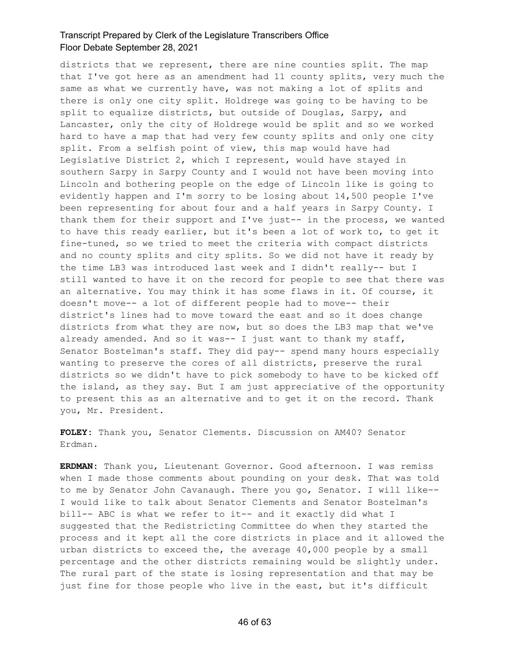districts that we represent, there are nine counties split. The map that I've got here as an amendment had 11 county splits, very much the same as what we currently have, was not making a lot of splits and there is only one city split. Holdrege was going to be having to be split to equalize districts, but outside of Douglas, Sarpy, and Lancaster, only the city of Holdrege would be split and so we worked hard to have a map that had very few county splits and only one city split. From a selfish point of view, this map would have had Legislative District 2, which I represent, would have stayed in southern Sarpy in Sarpy County and I would not have been moving into Lincoln and bothering people on the edge of Lincoln like is going to evidently happen and I'm sorry to be losing about 14,500 people I've been representing for about four and a half years in Sarpy County. I thank them for their support and I've just-- in the process, we wanted to have this ready earlier, but it's been a lot of work to, to get it fine-tuned, so we tried to meet the criteria with compact districts and no county splits and city splits. So we did not have it ready by the time LB3 was introduced last week and I didn't really-- but I still wanted to have it on the record for people to see that there was an alternative. You may think it has some flaws in it. Of course, it doesn't move-- a lot of different people had to move-- their district's lines had to move toward the east and so it does change districts from what they are now, but so does the LB3 map that we've already amended. And so it was-- I just want to thank my staff, Senator Bostelman's staff. They did pay-- spend many hours especially wanting to preserve the cores of all districts, preserve the rural districts so we didn't have to pick somebody to have to be kicked off the island, as they say. But I am just appreciative of the opportunity to present this as an alternative and to get it on the record. Thank you, Mr. President.

**FOLEY:** Thank you, Senator Clements. Discussion on AM40? Senator Erdman.

**ERDMAN:** Thank you, Lieutenant Governor. Good afternoon. I was remiss when I made those comments about pounding on your desk. That was told to me by Senator John Cavanaugh. There you go, Senator. I will like-- I would like to talk about Senator Clements and Senator Bostelman's bill-- ABC is what we refer to it-- and it exactly did what I suggested that the Redistricting Committee do when they started the process and it kept all the core districts in place and it allowed the urban districts to exceed the, the average 40,000 people by a small percentage and the other districts remaining would be slightly under. The rural part of the state is losing representation and that may be just fine for those people who live in the east, but it's difficult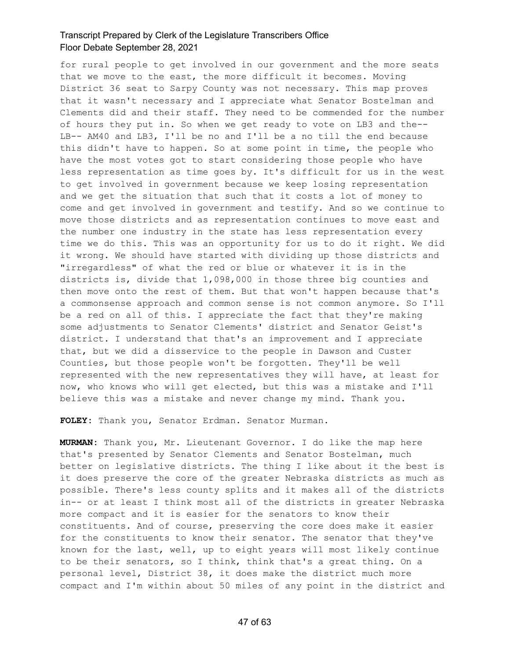for rural people to get involved in our government and the more seats that we move to the east, the more difficult it becomes. Moving District 36 seat to Sarpy County was not necessary. This map proves that it wasn't necessary and I appreciate what Senator Bostelman and Clements did and their staff. They need to be commended for the number of hours they put in. So when we get ready to vote on LB3 and the-- LB-- AM40 and LB3, I'll be no and I'll be a no till the end because this didn't have to happen. So at some point in time, the people who have the most votes got to start considering those people who have less representation as time goes by. It's difficult for us in the west to get involved in government because we keep losing representation and we get the situation that such that it costs a lot of money to come and get involved in government and testify. And so we continue to move those districts and as representation continues to move east and the number one industry in the state has less representation every time we do this. This was an opportunity for us to do it right. We did it wrong. We should have started with dividing up those districts and "irregardless" of what the red or blue or whatever it is in the districts is, divide that 1,098,000 in those three big counties and then move onto the rest of them. But that won't happen because that's a commonsense approach and common sense is not common anymore. So I'll be a red on all of this. I appreciate the fact that they're making some adjustments to Senator Clements' district and Senator Geist's district. I understand that that's an improvement and I appreciate that, but we did a disservice to the people in Dawson and Custer Counties, but those people won't be forgotten. They'll be well represented with the new representatives they will have, at least for now, who knows who will get elected, but this was a mistake and I'll believe this was a mistake and never change my mind. Thank you.

**FOLEY:** Thank you, Senator Erdman. Senator Murman.

**MURMAN:** Thank you, Mr. Lieutenant Governor. I do like the map here that's presented by Senator Clements and Senator Bostelman, much better on legislative districts. The thing I like about it the best is it does preserve the core of the greater Nebraska districts as much as possible. There's less county splits and it makes all of the districts in-- or at least I think most all of the districts in greater Nebraska more compact and it is easier for the senators to know their constituents. And of course, preserving the core does make it easier for the constituents to know their senator. The senator that they've known for the last, well, up to eight years will most likely continue to be their senators, so I think, think that's a great thing. On a personal level, District 38, it does make the district much more compact and I'm within about 50 miles of any point in the district and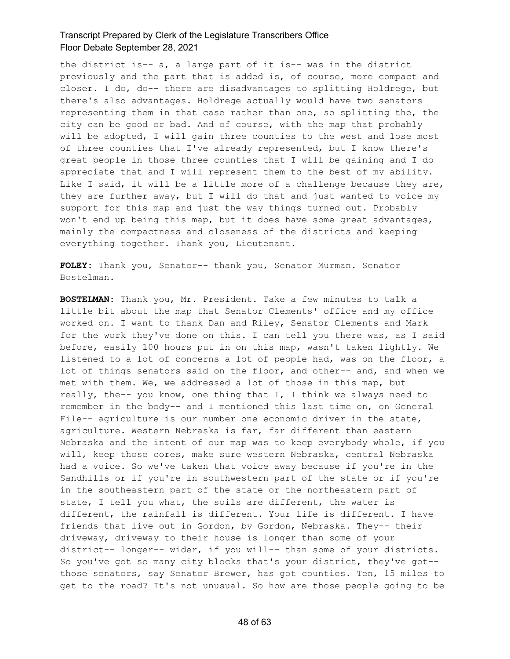the district is-- a, a large part of it is-- was in the district previously and the part that is added is, of course, more compact and closer. I do, do-- there are disadvantages to splitting Holdrege, but there's also advantages. Holdrege actually would have two senators representing them in that case rather than one, so splitting the, the city can be good or bad. And of course, with the map that probably will be adopted, I will gain three counties to the west and lose most of three counties that I've already represented, but I know there's great people in those three counties that I will be gaining and I do appreciate that and I will represent them to the best of my ability. Like I said, it will be a little more of a challenge because they are, they are further away, but I will do that and just wanted to voice my support for this map and just the way things turned out. Probably won't end up being this map, but it does have some great advantages, mainly the compactness and closeness of the districts and keeping everything together. Thank you, Lieutenant.

**FOLEY:** Thank you, Senator-- thank you, Senator Murman. Senator Bostelman.

**BOSTELMAN:** Thank you, Mr. President. Take a few minutes to talk a little bit about the map that Senator Clements' office and my office worked on. I want to thank Dan and Riley, Senator Clements and Mark for the work they've done on this. I can tell you there was, as I said before, easily 100 hours put in on this map, wasn't taken lightly. We listened to a lot of concerns a lot of people had, was on the floor, a lot of things senators said on the floor, and other-- and, and when we met with them. We, we addressed a lot of those in this map, but really, the-- you know, one thing that I, I think we always need to remember in the body-- and I mentioned this last time on, on General File-- agriculture is our number one economic driver in the state, agriculture. Western Nebraska is far, far different than eastern Nebraska and the intent of our map was to keep everybody whole, if you will, keep those cores, make sure western Nebraska, central Nebraska had a voice. So we've taken that voice away because if you're in the Sandhills or if you're in southwestern part of the state or if you're in the southeastern part of the state or the northeastern part of state, I tell you what, the soils are different, the water is different, the rainfall is different. Your life is different. I have friends that live out in Gordon, by Gordon, Nebraska. They-- their driveway, driveway to their house is longer than some of your district-- longer-- wider, if you will-- than some of your districts. So you've got so many city blocks that's your district, they've got- those senators, say Senator Brewer, has got counties. Ten, 15 miles to get to the road? It's not unusual. So how are those people going to be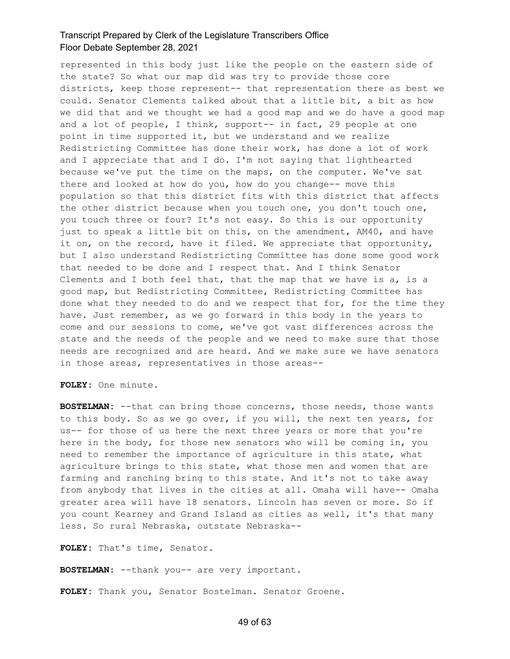represented in this body just like the people on the eastern side of the state? So what our map did was try to provide those core districts, keep those represent-- that representation there as best we could. Senator Clements talked about that a little bit, a bit as how we did that and we thought we had a good map and we do have a good map and a lot of people, I think, support-- in fact, 29 people at one point in time supported it, but we understand and we realize Redistricting Committee has done their work, has done a lot of work and I appreciate that and I do. I'm not saying that lighthearted because we've put the time on the maps, on the computer. We've sat there and looked at how do you, how do you change-- move this population so that this district fits with this district that affects the other district because when you touch one, you don't touch one, you touch three or four? It's not easy. So this is our opportunity just to speak a little bit on this, on the amendment, AM40, and have it on, on the record, have it filed. We appreciate that opportunity, but I also understand Redistricting Committee has done some good work that needed to be done and I respect that. And I think Senator Clements and I both feel that, that the map that we have is a, is a good map, but Redistricting Committee, Redistricting Committee has done what they needed to do and we respect that for, for the time they have. Just remember, as we go forward in this body in the years to come and our sessions to come, we've got vast differences across the state and the needs of the people and we need to make sure that those needs are recognized and are heard. And we make sure we have senators in those areas, representatives in those areas--

**FOLEY:** One minute.

**BOSTELMAN:** --that can bring those concerns, those needs, those wants to this body. So as we go over, if you will, the next ten years, for us-- for those of us here the next three years or more that you're here in the body, for those new senators who will be coming in, you need to remember the importance of agriculture in this state, what agriculture brings to this state, what those men and women that are farming and ranching bring to this state. And it's not to take away from anybody that lives in the cities at all. Omaha will have-- Omaha greater area will have 18 senators. Lincoln has seven or more. So if you count Kearney and Grand Island as cities as well, it's that many less. So rural Nebraska, outstate Nebraska--

**FOLEY:** That's time, Senator.

**BOSTELMAN:** --thank you-- are very important.

**FOLEY:** Thank you, Senator Bostelman. Senator Groene.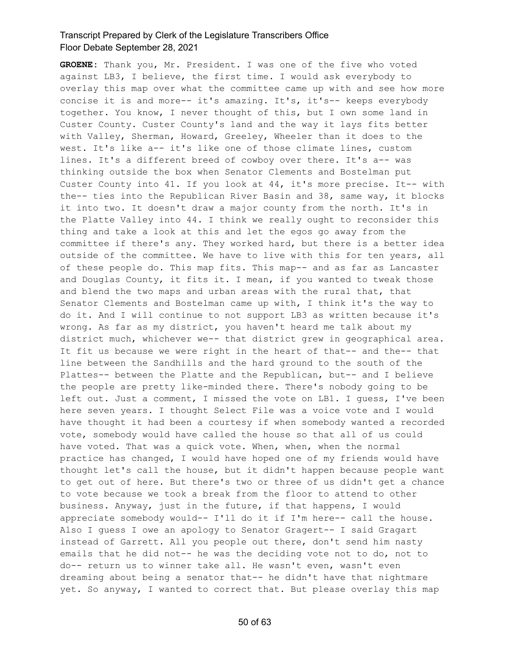**GROENE:** Thank you, Mr. President. I was one of the five who voted against LB3, I believe, the first time. I would ask everybody to overlay this map over what the committee came up with and see how more concise it is and more-- it's amazing. It's, it's-- keeps everybody together. You know, I never thought of this, but I own some land in Custer County. Custer County's land and the way it lays fits better with Valley, Sherman, Howard, Greeley, Wheeler than it does to the west. It's like a-- it's like one of those climate lines, custom lines. It's a different breed of cowboy over there. It's a-- was thinking outside the box when Senator Clements and Bostelman put Custer County into 41. If you look at 44, it's more precise. It-- with the-- ties into the Republican River Basin and 38, same way, it blocks it into two. It doesn't draw a major county from the north. It's in the Platte Valley into 44. I think we really ought to reconsider this thing and take a look at this and let the egos go away from the committee if there's any. They worked hard, but there is a better idea outside of the committee. We have to live with this for ten years, all of these people do. This map fits. This map-- and as far as Lancaster and Douglas County, it fits it. I mean, if you wanted to tweak those and blend the two maps and urban areas with the rural that, that Senator Clements and Bostelman came up with, I think it's the way to do it. And I will continue to not support LB3 as written because it's wrong. As far as my district, you haven't heard me talk about my district much, whichever we-- that district grew in geographical area. It fit us because we were right in the heart of that-- and the-- that line between the Sandhills and the hard ground to the south of the Plattes-- between the Platte and the Republican, but-- and I believe the people are pretty like-minded there. There's nobody going to be left out. Just a comment, I missed the vote on LB1. I guess, I've been here seven years. I thought Select File was a voice vote and I would have thought it had been a courtesy if when somebody wanted a recorded vote, somebody would have called the house so that all of us could have voted. That was a quick vote. When, when, when the normal practice has changed, I would have hoped one of my friends would have thought let's call the house, but it didn't happen because people want to get out of here. But there's two or three of us didn't get a chance to vote because we took a break from the floor to attend to other business. Anyway, just in the future, if that happens, I would appreciate somebody would-- I'll do it if I'm here-- call the house. Also I guess I owe an apology to Senator Gragert-- I said Gragart instead of Garrett. All you people out there, don't send him nasty emails that he did not-- he was the deciding vote not to do, not to do-- return us to winner take all. He wasn't even, wasn't even dreaming about being a senator that-- he didn't have that nightmare yet. So anyway, I wanted to correct that. But please overlay this map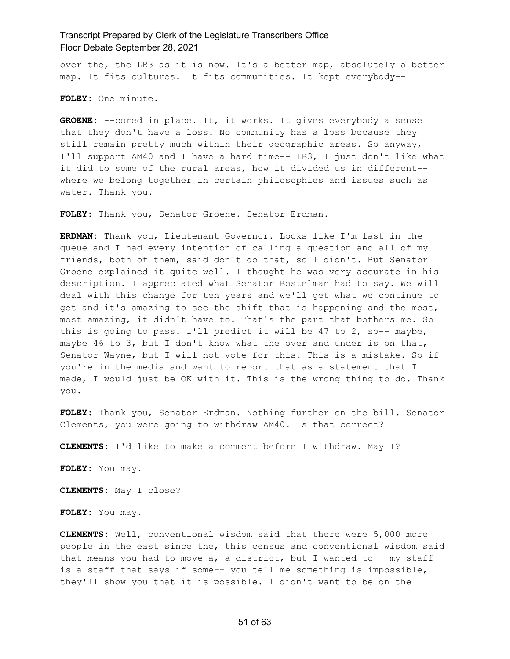over the, the LB3 as it is now. It's a better map, absolutely a better map. It fits cultures. It fits communities. It kept everybody--

**FOLEY:** One minute.

**GROENE:** --cored in place. It, it works. It gives everybody a sense that they don't have a loss. No community has a loss because they still remain pretty much within their geographic areas. So anyway, I'll support AM40 and I have a hard time-- LB3, I just don't like what it did to some of the rural areas, how it divided us in different- where we belong together in certain philosophies and issues such as water. Thank you.

**FOLEY:** Thank you, Senator Groene. Senator Erdman.

**ERDMAN:** Thank you, Lieutenant Governor. Looks like I'm last in the queue and I had every intention of calling a question and all of my friends, both of them, said don't do that, so I didn't. But Senator Groene explained it quite well. I thought he was very accurate in his description. I appreciated what Senator Bostelman had to say. We will deal with this change for ten years and we'll get what we continue to get and it's amazing to see the shift that is happening and the most, most amazing, it didn't have to. That's the part that bothers me. So this is going to pass. I'll predict it will be 47 to 2, so-- maybe, maybe 46 to 3, but I don't know what the over and under is on that, Senator Wayne, but I will not vote for this. This is a mistake. So if you're in the media and want to report that as a statement that I made, I would just be OK with it. This is the wrong thing to do. Thank you.

**FOLEY:** Thank you, Senator Erdman. Nothing further on the bill. Senator Clements, you were going to withdraw AM40. Is that correct?

**CLEMENTS:** I'd like to make a comment before I withdraw. May I?

**FOLEY:** You may.

**CLEMENTS:** May I close?

**FOLEY:** You may.

**CLEMENTS:** Well, conventional wisdom said that there were 5,000 more people in the east since the, this census and conventional wisdom said that means you had to move a, a district, but I wanted to-- my staff is a staff that says if some-- you tell me something is impossible, they'll show you that it is possible. I didn't want to be on the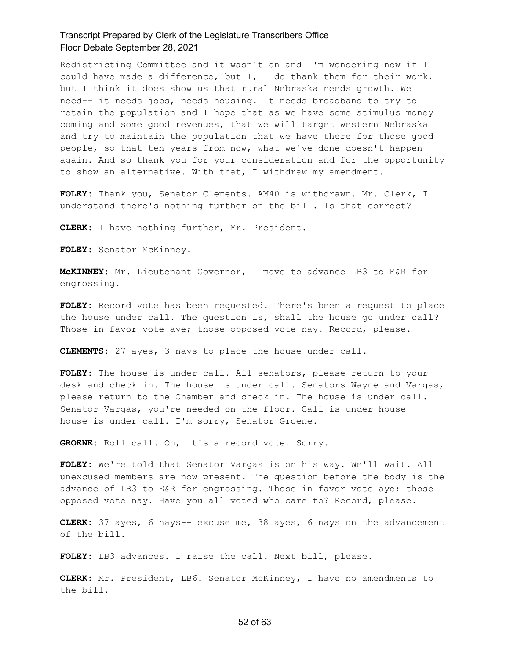Redistricting Committee and it wasn't on and I'm wondering now if I could have made a difference, but I, I do thank them for their work, but I think it does show us that rural Nebraska needs growth. We need-- it needs jobs, needs housing. It needs broadband to try to retain the population and I hope that as we have some stimulus money coming and some good revenues, that we will target western Nebraska and try to maintain the population that we have there for those good people, so that ten years from now, what we've done doesn't happen again. And so thank you for your consideration and for the opportunity to show an alternative. With that, I withdraw my amendment.

**FOLEY:** Thank you, Senator Clements. AM40 is withdrawn. Mr. Clerk, I understand there's nothing further on the bill. Is that correct?

**CLERK:** I have nothing further, Mr. President.

**FOLEY:** Senator McKinney.

**McKINNEY:** Mr. Lieutenant Governor, I move to advance LB3 to E&R for engrossing.

**FOLEY:** Record vote has been requested. There's been a request to place the house under call. The question is, shall the house go under call? Those in favor vote aye; those opposed vote nay. Record, please.

**CLEMENTS:** 27 ayes, 3 nays to place the house under call.

**FOLEY:** The house is under call. All senators, please return to your desk and check in. The house is under call. Senators Wayne and Vargas, please return to the Chamber and check in. The house is under call. Senator Vargas, you're needed on the floor. Call is under house- house is under call. I'm sorry, Senator Groene.

**GROENE:** Roll call. Oh, it's a record vote. Sorry.

**FOLEY:** We're told that Senator Vargas is on his way. We'll wait. All unexcused members are now present. The question before the body is the advance of LB3 to E&R for engrossing. Those in favor vote aye; those opposed vote nay. Have you all voted who care to? Record, please.

**CLERK:** 37 ayes, 6 nays-- excuse me, 38 ayes, 6 nays on the advancement of the bill.

**FOLEY:** LB3 advances. I raise the call. Next bill, please.

**CLERK:** Mr. President, LB6. Senator McKinney, I have no amendments to the bill.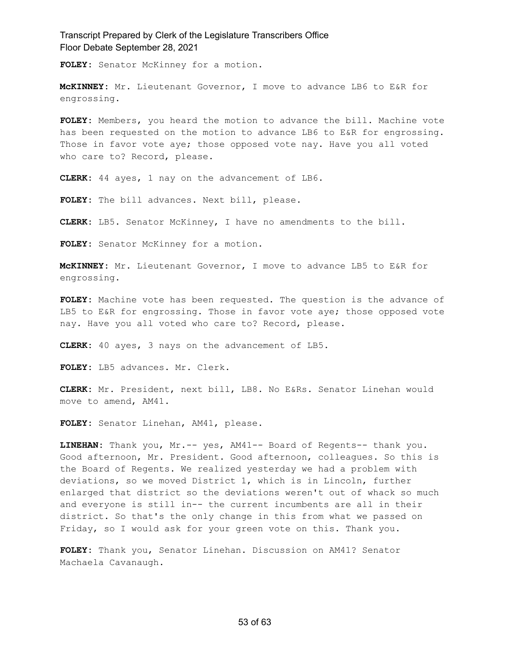**FOLEY:** Senator McKinney for a motion.

**McKINNEY:** Mr. Lieutenant Governor, I move to advance LB6 to E&R for engrossing.

**FOLEY:** Members, you heard the motion to advance the bill. Machine vote has been requested on the motion to advance LB6 to E&R for engrossing. Those in favor vote aye; those opposed vote nay. Have you all voted who care to? Record, please.

**CLERK:** 44 ayes, 1 nay on the advancement of LB6.

**FOLEY:** The bill advances. Next bill, please.

**CLERK:** LB5. Senator McKinney, I have no amendments to the bill.

**FOLEY:** Senator McKinney for a motion.

**McKINNEY:** Mr. Lieutenant Governor, I move to advance LB5 to E&R for engrossing.

**FOLEY:** Machine vote has been requested. The question is the advance of LB5 to E&R for engrossing. Those in favor vote aye; those opposed vote nay. Have you all voted who care to? Record, please.

**CLERK:** 40 ayes, 3 nays on the advancement of LB5.

**FOLEY:** LB5 advances. Mr. Clerk.

**CLERK:** Mr. President, next bill, LB8. No E&Rs. Senator Linehan would move to amend, AM41.

**FOLEY:** Senator Linehan, AM41, please.

**LINEHAN:** Thank you, Mr.-- yes, AM41-- Board of Regents-- thank you. Good afternoon, Mr. President. Good afternoon, colleagues. So this is the Board of Regents. We realized yesterday we had a problem with deviations, so we moved District 1, which is in Lincoln, further enlarged that district so the deviations weren't out of whack so much and everyone is still in-- the current incumbents are all in their district. So that's the only change in this from what we passed on Friday, so I would ask for your green vote on this. Thank you.

**FOLEY:** Thank you, Senator Linehan. Discussion on AM41? Senator Machaela Cavanaugh.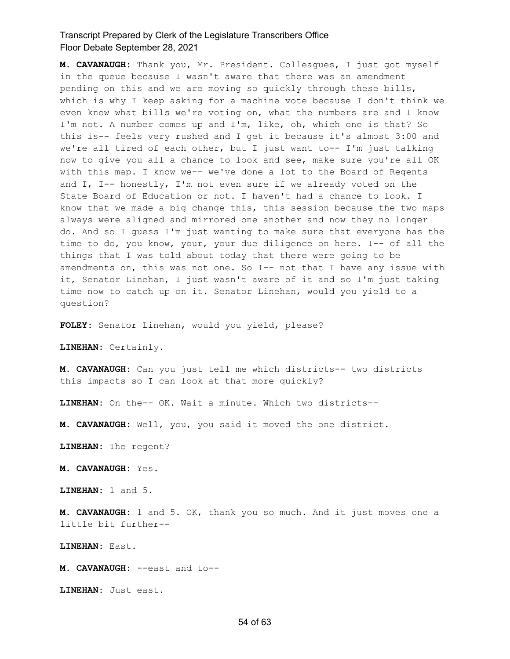**M. CAVANAUGH:** Thank you, Mr. President. Colleagues, I just got myself in the queue because I wasn't aware that there was an amendment pending on this and we are moving so quickly through these bills, which is why I keep asking for a machine vote because I don't think we even know what bills we're voting on, what the numbers are and I know I'm not. A number comes up and I'm, like, oh, which one is that? So this is-- feels very rushed and I get it because it's almost 3:00 and we're all tired of each other, but I just want to-- I'm just talking now to give you all a chance to look and see, make sure you're all OK with this map. I know we-- we've done a lot to the Board of Regents and I, I-- honestly, I'm not even sure if we already voted on the State Board of Education or not. I haven't had a chance to look. I know that we made a big change this, this session because the two maps always were aligned and mirrored one another and now they no longer do. And so I guess I'm just wanting to make sure that everyone has the time to do, you know, your, your due diligence on here. I-- of all the things that I was told about today that there were going to be amendments on, this was not one. So I-- not that I have any issue with it, Senator Linehan, I just wasn't aware of it and so I'm just taking time now to catch up on it. Senator Linehan, would you yield to a question?

**FOLEY:** Senator Linehan, would you yield, please?

**LINEHAN:** Certainly.

**M. CAVANAUGH:** Can you just tell me which districts-- two districts this impacts so I can look at that more quickly?

**LINEHAN:** On the-- OK. Wait a minute. Which two districts--

**M. CAVANAUGH:** Well, you, you said it moved the one district.

**LINEHAN:** The regent?

**M. CAVANAUGH:** Yes.

**LINEHAN:** 1 and 5.

**M. CAVANAUGH:** 1 and 5. OK, thank you so much. And it just moves one a little bit further--

**LINEHAN:** East.

**M. CAVANAUGH:** --east and to--

**LINEHAN:** Just east.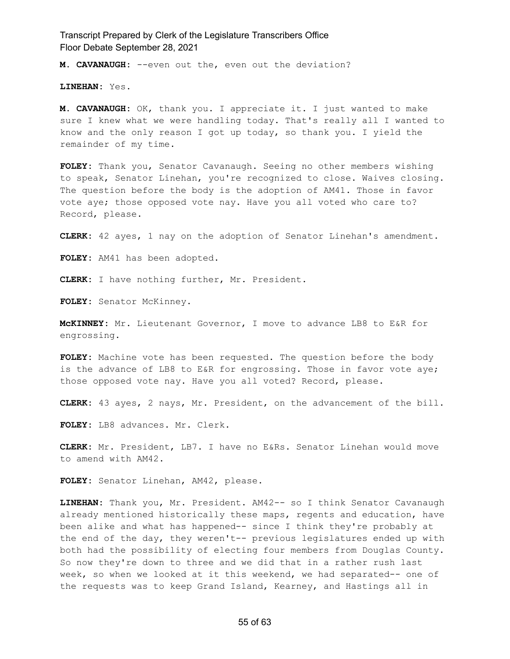**M. CAVANAUGH:** --even out the, even out the deviation?

**LINEHAN:** Yes.

**M. CAVANAUGH:** OK, thank you. I appreciate it. I just wanted to make sure I knew what we were handling today. That's really all I wanted to know and the only reason I got up today, so thank you. I yield the remainder of my time.

**FOLEY:** Thank you, Senator Cavanaugh. Seeing no other members wishing to speak, Senator Linehan, you're recognized to close. Waives closing. The question before the body is the adoption of AM41. Those in favor vote aye; those opposed vote nay. Have you all voted who care to? Record, please.

**CLERK:** 42 ayes, 1 nay on the adoption of Senator Linehan's amendment.

**FOLEY:** AM41 has been adopted.

**CLERK:** I have nothing further, Mr. President.

**FOLEY:** Senator McKinney.

**McKINNEY:** Mr. Lieutenant Governor, I move to advance LB8 to E&R for engrossing.

**FOLEY:** Machine vote has been requested. The question before the body is the advance of LB8 to E&R for engrossing. Those in favor vote aye; those opposed vote nay. Have you all voted? Record, please.

**CLERK:** 43 ayes, 2 nays, Mr. President, on the advancement of the bill.

**FOLEY:** LB8 advances. Mr. Clerk.

**CLERK:** Mr. President, LB7. I have no E&Rs. Senator Linehan would move to amend with AM42.

**FOLEY:** Senator Linehan, AM42, please.

**LINEHAN:** Thank you, Mr. President. AM42-- so I think Senator Cavanaugh already mentioned historically these maps, regents and education, have been alike and what has happened-- since I think they're probably at the end of the day, they weren't-- previous legislatures ended up with both had the possibility of electing four members from Douglas County. So now they're down to three and we did that in a rather rush last week, so when we looked at it this weekend, we had separated-- one of the requests was to keep Grand Island, Kearney, and Hastings all in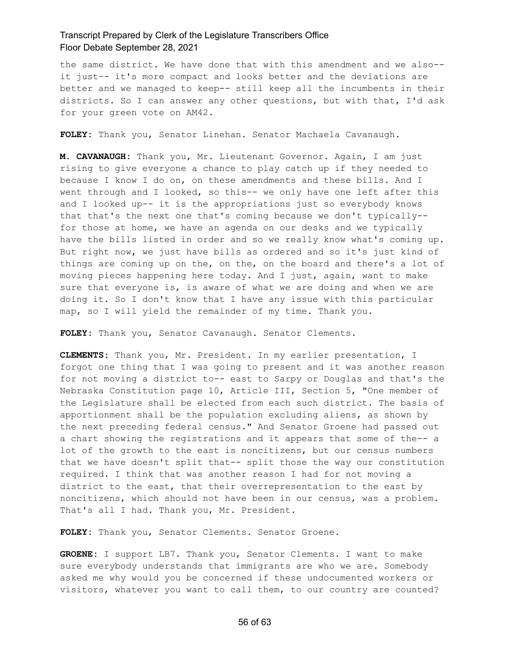the same district. We have done that with this amendment and we also- it just-- it's more compact and looks better and the deviations are better and we managed to keep-- still keep all the incumbents in their districts. So I can answer any other questions, but with that, I'd ask for your green vote on AM42.

**FOLEY:** Thank you, Senator Linehan. Senator Machaela Cavanaugh.

**M. CAVANAUGH:** Thank you, Mr. Lieutenant Governor. Again, I am just rising to give everyone a chance to play catch up if they needed to because I know I do on, on these amendments and these bills. And I went through and I looked, so this-- we only have one left after this and I looked up-- it is the appropriations just so everybody knows that that's the next one that's coming because we don't typically- for those at home, we have an agenda on our desks and we typically have the bills listed in order and so we really know what's coming up. But right now, we just have bills as ordered and so it's just kind of things are coming up on the, on the, on the board and there's a lot of moving pieces happening here today. And I just, again, want to make sure that everyone is, is aware of what we are doing and when we are doing it. So I don't know that I have any issue with this particular map, so I will yield the remainder of my time. Thank you.

**FOLEY:** Thank you, Senator Cavanaugh. Senator Clements.

**CLEMENTS:** Thank you, Mr. President. In my earlier presentation, I forgot one thing that I was going to present and it was another reason for not moving a district to-- east to Sarpy or Douglas and that's the Nebraska Constitution page 10, Article III, Section 5, "One member of the Legislature shall be elected from each such district. The basis of apportionment shall be the population excluding aliens, as shown by the next preceding federal census." And Senator Groene had passed out a chart showing the registrations and it appears that some of the-- a lot of the growth to the east is noncitizens, but our census numbers that we have doesn't split that-- split those the way our constitution required. I think that was another reason I had for not moving a district to the east, that their overrepresentation to the east by noncitizens, which should not have been in our census, was a problem. That's all I had. Thank you, Mr. President.

**FOLEY:** Thank you, Senator Clements. Senator Groene.

**GROENE:** I support LB7. Thank you, Senator Clements. I want to make sure everybody understands that immigrants are who we are. Somebody asked me why would you be concerned if these undocumented workers or visitors, whatever you want to call them, to our country are counted?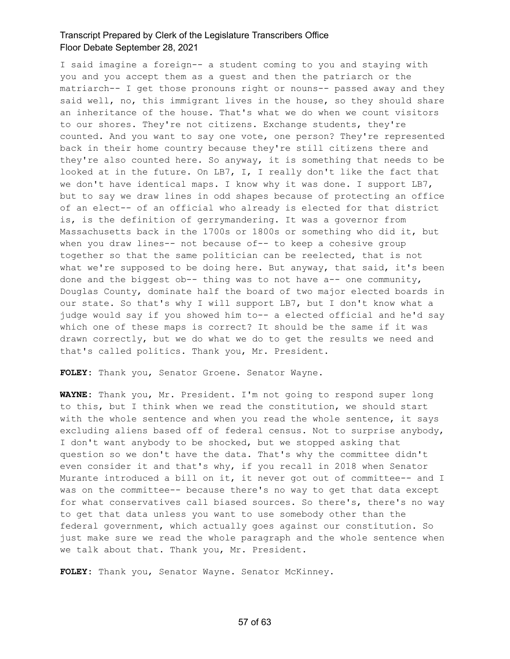I said imagine a foreign-- a student coming to you and staying with you and you accept them as a guest and then the patriarch or the matriarch-- I get those pronouns right or nouns-- passed away and they said well, no, this immigrant lives in the house, so they should share an inheritance of the house. That's what we do when we count visitors to our shores. They're not citizens. Exchange students, they're counted. And you want to say one vote, one person? They're represented back in their home country because they're still citizens there and they're also counted here. So anyway, it is something that needs to be looked at in the future. On LB7, I, I really don't like the fact that we don't have identical maps. I know why it was done. I support LB7, but to say we draw lines in odd shapes because of protecting an office of an elect-- of an official who already is elected for that district is, is the definition of gerrymandering. It was a governor from Massachusetts back in the 1700s or 1800s or something who did it, but when you draw lines-- not because of-- to keep a cohesive group together so that the same politician can be reelected, that is not what we're supposed to be doing here. But anyway, that said, it's been done and the biggest ob-- thing was to not have a-- one community, Douglas County, dominate half the board of two major elected boards in our state. So that's why I will support LB7, but I don't know what a judge would say if you showed him to-- a elected official and he'd say which one of these maps is correct? It should be the same if it was drawn correctly, but we do what we do to get the results we need and that's called politics. Thank you, Mr. President.

**FOLEY:** Thank you, Senator Groene. Senator Wayne.

**WAYNE:** Thank you, Mr. President. I'm not going to respond super long to this, but I think when we read the constitution, we should start with the whole sentence and when you read the whole sentence, it says excluding aliens based off of federal census. Not to surprise anybody, I don't want anybody to be shocked, but we stopped asking that question so we don't have the data. That's why the committee didn't even consider it and that's why, if you recall in 2018 when Senator Murante introduced a bill on it, it never got out of committee-- and I was on the committee-- because there's no way to get that data except for what conservatives call biased sources. So there's, there's no way to get that data unless you want to use somebody other than the federal government, which actually goes against our constitution. So just make sure we read the whole paragraph and the whole sentence when we talk about that. Thank you, Mr. President.

**FOLEY:** Thank you, Senator Wayne. Senator McKinney.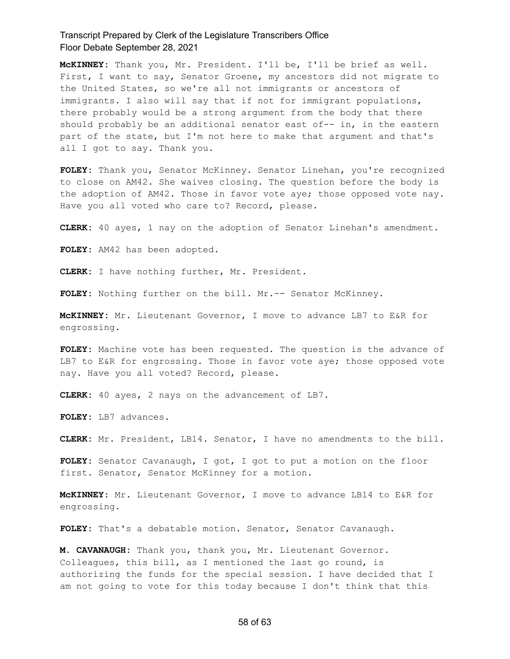**McKINNEY:** Thank you, Mr. President. I'll be, I'll be brief as well. First, I want to say, Senator Groene, my ancestors did not migrate to the United States, so we're all not immigrants or ancestors of immigrants. I also will say that if not for immigrant populations, there probably would be a strong argument from the body that there should probably be an additional senator east of-- in, in the eastern part of the state, but I'm not here to make that argument and that's all I got to say. Thank you.

**FOLEY:** Thank you, Senator McKinney. Senator Linehan, you're recognized to close on AM42. She waives closing. The question before the body is the adoption of AM42. Those in favor vote aye; those opposed vote nay. Have you all voted who care to? Record, please.

**CLERK:** 40 ayes, 1 nay on the adoption of Senator Linehan's amendment.

**FOLEY:** AM42 has been adopted.

**CLERK:** I have nothing further, Mr. President.

**FOLEY:** Nothing further on the bill. Mr.-- Senator McKinney.

**McKINNEY:** Mr. Lieutenant Governor, I move to advance LB7 to E&R for engrossing.

**FOLEY:** Machine vote has been requested. The question is the advance of LB7 to E&R for engrossing. Those in favor vote aye; those opposed vote nay. Have you all voted? Record, please.

**CLERK:** 40 ayes, 2 nays on the advancement of LB7.

**FOLEY:** LB7 advances.

**CLERK:** Mr. President, LB14. Senator, I have no amendments to the bill.

**FOLEY:** Senator Cavanaugh, I got, I got to put a motion on the floor first. Senator, Senator McKinney for a motion.

**McKINNEY:** Mr. Lieutenant Governor, I move to advance LB14 to E&R for engrossing.

**FOLEY:** That's a debatable motion. Senator, Senator Cavanaugh.

**M. CAVANAUGH:** Thank you, thank you, Mr. Lieutenant Governor. Colleagues, this bill, as I mentioned the last go round, is authorizing the funds for the special session. I have decided that I am not going to vote for this today because I don't think that this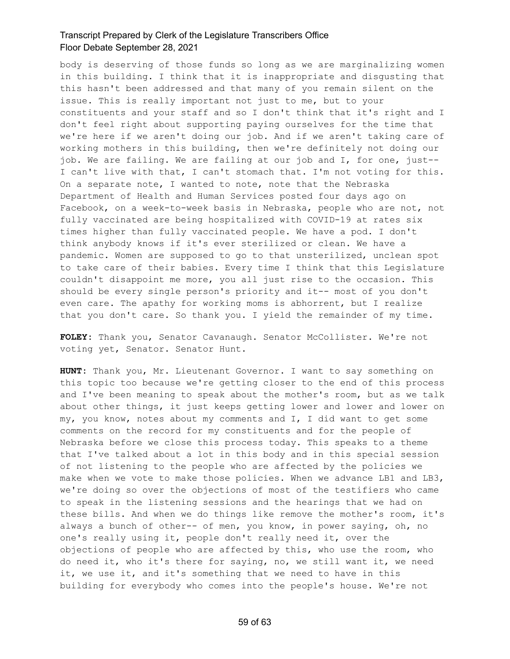body is deserving of those funds so long as we are marginalizing women in this building. I think that it is inappropriate and disgusting that this hasn't been addressed and that many of you remain silent on the issue. This is really important not just to me, but to your constituents and your staff and so I don't think that it's right and I don't feel right about supporting paying ourselves for the time that we're here if we aren't doing our job. And if we aren't taking care of working mothers in this building, then we're definitely not doing our job. We are failing. We are failing at our job and I, for one, just-- I can't live with that, I can't stomach that. I'm not voting for this. On a separate note, I wanted to note, note that the Nebraska Department of Health and Human Services posted four days ago on Facebook, on a week-to-week basis in Nebraska, people who are not, not fully vaccinated are being hospitalized with COVID-19 at rates six times higher than fully vaccinated people. We have a pod. I don't think anybody knows if it's ever sterilized or clean. We have a pandemic. Women are supposed to go to that unsterilized, unclean spot to take care of their babies. Every time I think that this Legislature couldn't disappoint me more, you all just rise to the occasion. This should be every single person's priority and it-- most of you don't even care. The apathy for working moms is abhorrent, but I realize that you don't care. So thank you. I yield the remainder of my time.

**FOLEY:** Thank you, Senator Cavanaugh. Senator McCollister. We're not voting yet, Senator. Senator Hunt.

**HUNT:** Thank you, Mr. Lieutenant Governor. I want to say something on this topic too because we're getting closer to the end of this process and I've been meaning to speak about the mother's room, but as we talk about other things, it just keeps getting lower and lower and lower on my, you know, notes about my comments and I, I did want to get some comments on the record for my constituents and for the people of Nebraska before we close this process today. This speaks to a theme that I've talked about a lot in this body and in this special session of not listening to the people who are affected by the policies we make when we vote to make those policies. When we advance LB1 and LB3, we're doing so over the objections of most of the testifiers who came to speak in the listening sessions and the hearings that we had on these bills. And when we do things like remove the mother's room, it's always a bunch of other-- of men, you know, in power saying, oh, no one's really using it, people don't really need it, over the objections of people who are affected by this, who use the room, who do need it, who it's there for saying, no, we still want it, we need it, we use it, and it's something that we need to have in this building for everybody who comes into the people's house. We're not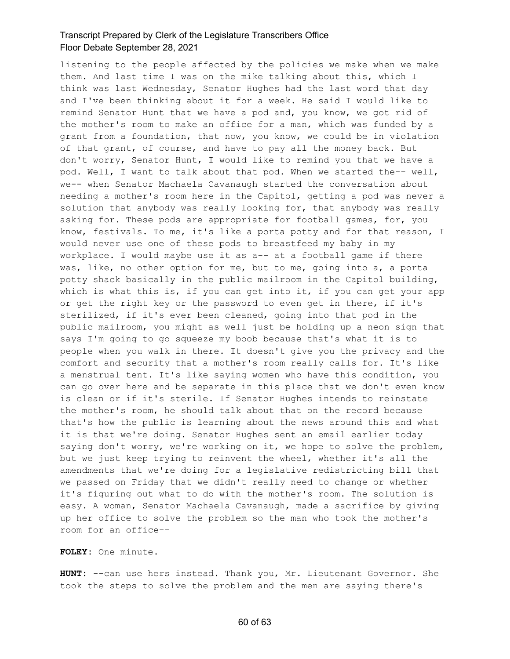listening to the people affected by the policies we make when we make them. And last time I was on the mike talking about this, which I think was last Wednesday, Senator Hughes had the last word that day and I've been thinking about it for a week. He said I would like to remind Senator Hunt that we have a pod and, you know, we got rid of the mother's room to make an office for a man, which was funded by a grant from a foundation, that now, you know, we could be in violation of that grant, of course, and have to pay all the money back. But don't worry, Senator Hunt, I would like to remind you that we have a pod. Well, I want to talk about that pod. When we started the-- well, we-- when Senator Machaela Cavanaugh started the conversation about needing a mother's room here in the Capitol, getting a pod was never a solution that anybody was really looking for, that anybody was really asking for. These pods are appropriate for football games, for, you know, festivals. To me, it's like a porta potty and for that reason, I would never use one of these pods to breastfeed my baby in my workplace. I would maybe use it as a-- at a football game if there was, like, no other option for me, but to me, going into a, a porta potty shack basically in the public mailroom in the Capitol building, which is what this is, if you can get into it, if you can get your app or get the right key or the password to even get in there, if it's sterilized, if it's ever been cleaned, going into that pod in the public mailroom, you might as well just be holding up a neon sign that says I'm going to go squeeze my boob because that's what it is to people when you walk in there. It doesn't give you the privacy and the comfort and security that a mother's room really calls for. It's like a menstrual tent. It's like saying women who have this condition, you can go over here and be separate in this place that we don't even know is clean or if it's sterile. If Senator Hughes intends to reinstate the mother's room, he should talk about that on the record because that's how the public is learning about the news around this and what it is that we're doing. Senator Hughes sent an email earlier today saying don't worry, we're working on it, we hope to solve the problem, but we just keep trying to reinvent the wheel, whether it's all the amendments that we're doing for a legislative redistricting bill that we passed on Friday that we didn't really need to change or whether it's figuring out what to do with the mother's room. The solution is easy. A woman, Senator Machaela Cavanaugh, made a sacrifice by giving up her office to solve the problem so the man who took the mother's room for an office--

**FOLEY:** One minute.

**HUNT:** --can use hers instead. Thank you, Mr. Lieutenant Governor. She took the steps to solve the problem and the men are saying there's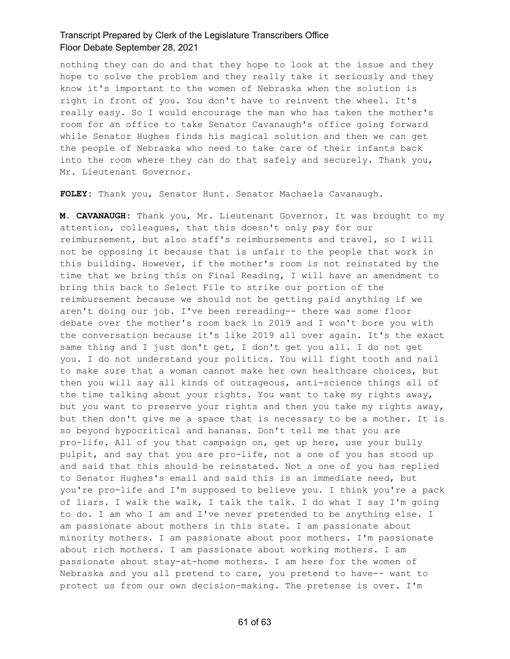nothing they can do and that they hope to look at the issue and they hope to solve the problem and they really take it seriously and they know it's important to the women of Nebraska when the solution is right in front of you. You don't have to reinvent the wheel. It's really easy. So I would encourage the man who has taken the mother's room for an office to take Senator Cavanaugh's office going forward while Senator Hughes finds his magical solution and then we can get the people of Nebraska who need to take care of their infants back into the room where they can do that safely and securely. Thank you, Mr. Lieutenant Governor.

**FOLEY:** Thank you, Senator Hunt. Senator Machaela Cavanaugh.

**M. CAVANAUGH:** Thank you, Mr. Lieutenant Governor. It was brought to my attention, colleagues, that this doesn't only pay for our reimbursement, but also staff's reimbursements and travel, so I will not be opposing it because that is unfair to the people that work in this building. However, if the mother's room is not reinstated by the time that we bring this on Final Reading, I will have an amendment to bring this back to Select File to strike our portion of the reimbursement because we should not be getting paid anything if we aren't doing our job. I've been rereading-- there was some floor debate over the mother's room back in 2019 and I won't bore you with the conversation because it's like 2019 all over again. It's the exact same thing and I just don't get, I don't get you all. I do not get you. I do not understand your politics. You will fight tooth and nail to make sure that a woman cannot make her own healthcare choices, but then you will say all kinds of outrageous, anti-science things all of the time talking about your rights. You want to take my rights away, but you want to preserve your rights and then you take my rights away, but then don't give me a space that is necessary to be a mother. It is so beyond hypocritical and bananas. Don't tell me that you are pro-life. All of you that campaign on, get up here, use your bully pulpit, and say that you are pro-life, not a one of you has stood up and said that this should be reinstated. Not a one of you has replied to Senator Hughes's email and said this is an immediate need, but you're pro-life and I'm supposed to believe you. I think you're a pack of liars. I walk the walk, I talk the talk. I do what I say I'm going to do. I am who I am and I've never pretended to be anything else. I am passionate about mothers in this state. I am passionate about minority mothers. I am passionate about poor mothers. I'm passionate about rich mothers. I am passionate about working mothers. I am passionate about stay-at-home mothers. I am here for the women of Nebraska and you all pretend to care, you pretend to have-- want to protect us from our own decision-making. The pretense is over. I'm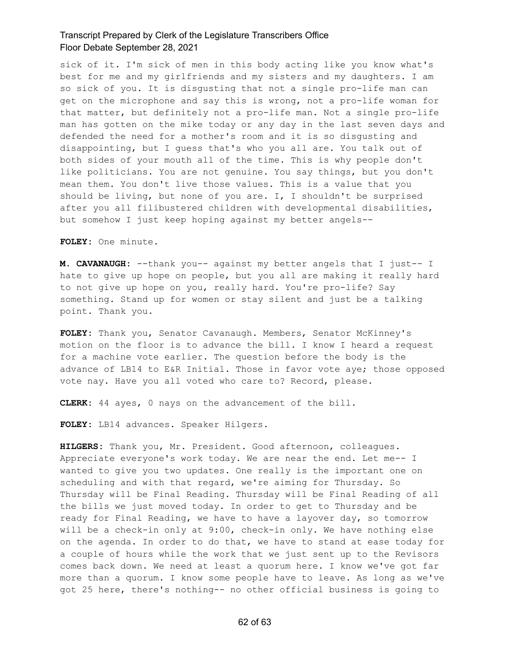sick of it. I'm sick of men in this body acting like you know what's best for me and my girlfriends and my sisters and my daughters. I am so sick of you. It is disgusting that not a single pro-life man can get on the microphone and say this is wrong, not a pro-life woman for that matter, but definitely not a pro-life man. Not a single pro-life man has gotten on the mike today or any day in the last seven days and defended the need for a mother's room and it is so disgusting and disappointing, but I guess that's who you all are. You talk out of both sides of your mouth all of the time. This is why people don't like politicians. You are not genuine. You say things, but you don't mean them. You don't live those values. This is a value that you should be living, but none of you are. I, I shouldn't be surprised after you all filibustered children with developmental disabilities, but somehow I just keep hoping against my better angels--

**FOLEY:** One minute.

**M. CAVANAUGH:** --thank you-- against my better angels that I just-- I hate to give up hope on people, but you all are making it really hard to not give up hope on you, really hard. You're pro-life? Say something. Stand up for women or stay silent and just be a talking point. Thank you.

**FOLEY:** Thank you, Senator Cavanaugh. Members, Senator McKinney's motion on the floor is to advance the bill. I know I heard a request for a machine vote earlier. The question before the body is the advance of LB14 to E&R Initial. Those in favor vote aye; those opposed vote nay. Have you all voted who care to? Record, please.

**CLERK:** 44 ayes, 0 nays on the advancement of the bill.

**FOLEY:** LB14 advances. Speaker Hilgers.

**HILGERS:** Thank you, Mr. President. Good afternoon, colleagues. Appreciate everyone's work today. We are near the end. Let me-- I wanted to give you two updates. One really is the important one on scheduling and with that regard, we're aiming for Thursday. So Thursday will be Final Reading. Thursday will be Final Reading of all the bills we just moved today. In order to get to Thursday and be ready for Final Reading, we have to have a layover day, so tomorrow will be a check-in only at 9:00, check-in only. We have nothing else on the agenda. In order to do that, we have to stand at ease today for a couple of hours while the work that we just sent up to the Revisors comes back down. We need at least a quorum here. I know we've got far more than a quorum. I know some people have to leave. As long as we've got 25 here, there's nothing-- no other official business is going to